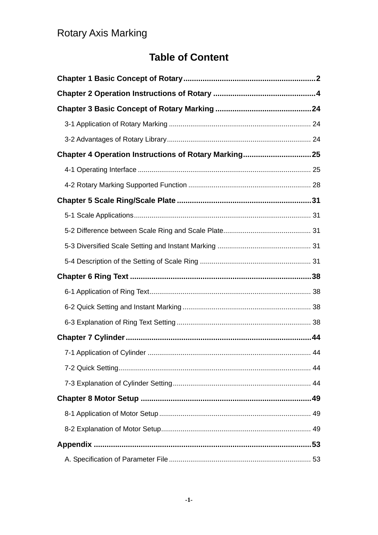### **Table of Content**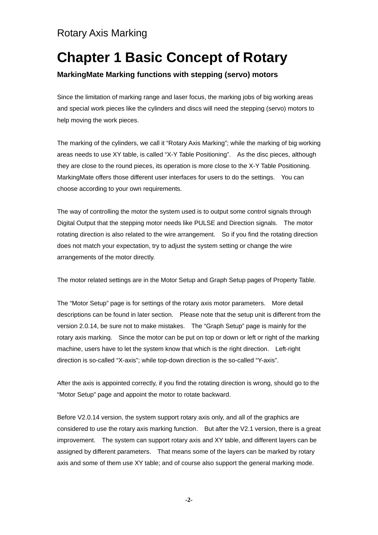# **Chapter 1 Basic Concept of Rotary**

#### **MarkingMate Marking functions with stepping (servo) motors**

Since the limitation of marking range and laser focus, the marking jobs of big working areas and special work pieces like the cylinders and discs will need the stepping (servo) motors to help moving the work pieces.

The marking of the cylinders, we call it "Rotary Axis Marking"; while the marking of big working areas needs to use XY table, is called "X-Y Table Positioning". As the disc pieces, although they are close to the round pieces, its operation is more close to the X-Y Table Positioning. MarkingMate offers those different user interfaces for users to do the settings. You can choose according to your own requirements.

The way of controlling the motor the system used is to output some control signals through Digital Output that the stepping motor needs like PULSE and Direction signals. The motor rotating direction is also related to the wire arrangement. So if you find the rotating direction does not match your expectation, try to adjust the system setting or change the wire arrangements of the motor directly.

The motor related settings are in the Motor Setup and Graph Setup pages of Property Table.

The "Motor Setup" page is for settings of the rotary axis motor parameters. More detail descriptions can be found in later section. Please note that the setup unit is different from the version 2.0.14, be sure not to make mistakes. The "Graph Setup" page is mainly for the rotary axis marking. Since the motor can be put on top or down or left or right of the marking machine, users have to let the system know that which is the right direction. Left-right direction is so-called "X-axis"; while top-down direction is the so-called "Y-axis".

After the axis is appointed correctly, if you find the rotating direction is wrong, should go to the "Motor Setup" page and appoint the motor to rotate backward.

Before V2.0.14 version, the system support rotary axis only, and all of the graphics are considered to use the rotary axis marking function. But after the V2.1 version, there is a great improvement. The system can support rotary axis and XY table, and different layers can be assigned by different parameters. That means some of the layers can be marked by rotary axis and some of them use XY table; and of course also support the general marking mode.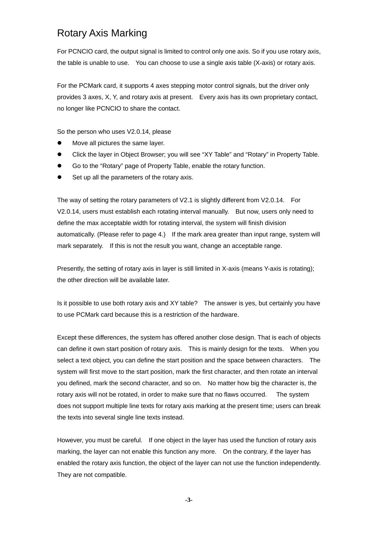For PCNCIO card, the output signal is limited to control only one axis. So if you use rotary axis, the table is unable to use. You can choose to use a single axis table (X-axis) or rotary axis.

For the PCMark card, it supports 4 axes stepping motor control signals, but the driver only provides 3 axes, X, Y, and rotary axis at present. Every axis has its own proprietary contact, no longer like PCNCIO to share the contact.

So the person who uses V2.0.14, please

- Move all pictures the same layer.
- Click the layer in Object Browser; you will see "XY Table" and "Rotary" in Property Table.
- Go to the "Rotary" page of Property Table, enable the rotary function.
- Set up all the parameters of the rotary axis.

The way of setting the rotary parameters of V2.1 is slightly different from V2.0.14. For V2.0.14, users must establish each rotating interval manually. But now, users only need to define the max acceptable width for rotating interval, the system will finish division automatically. (Please refer to page 4.) If the mark area greater than input range, system will mark separately. If this is not the result you want, change an acceptable range.

Presently, the setting of rotary axis in layer is still limited in X-axis (means Y-axis is rotating); the other direction will be available later.

Is it possible to use both rotary axis and XY table? The answer is yes, but certainly you have to use PCMark card because this is a restriction of the hardware.

Except these differences, the system has offered another close design. That is each of objects can define it own start position of rotary axis. This is mainly design for the texts. When you select a text object, you can define the start position and the space between characters. The system will first move to the start position, mark the first character, and then rotate an interval you defined, mark the second character, and so on. No matter how big the character is, the rotary axis will not be rotated, in order to make sure that no flaws occurred. The system does not support multiple line texts for rotary axis marking at the present time; users can break the texts into several single line texts instead.

However, you must be careful. If one object in the layer has used the function of rotary axis marking, the layer can not enable this function any more. On the contrary, if the layer has enabled the rotary axis function, the object of the layer can not use the function independently. They are not compatible.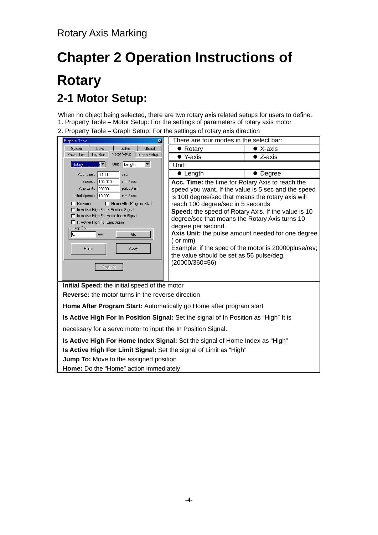# **Chapter 2 Operation Instructions of Rotary 2-1 Motor Setup:**

When no object being selected, there are two rotary axis related setups for users to define. 1. Property Table – Motor Setup: For the settings of parameters of rotary axis motor

2. Property Table – Graph Setup: For the settings of rotary axis direction

| <b>Property Table</b><br>図                                                                                                                                                                                                                                                                                                        | There are four modes in the select bar:                                                                                                                                                                                                                                                                                                                                                                   |                                                                                                           |  |  |  |
|-----------------------------------------------------------------------------------------------------------------------------------------------------------------------------------------------------------------------------------------------------------------------------------------------------------------------------------|-----------------------------------------------------------------------------------------------------------------------------------------------------------------------------------------------------------------------------------------------------------------------------------------------------------------------------------------------------------------------------------------------------------|-----------------------------------------------------------------------------------------------------------|--|--|--|
| Galvo<br>Global<br>System<br>Lens                                                                                                                                                                                                                                                                                                 | • Rotary                                                                                                                                                                                                                                                                                                                                                                                                  | $\bullet$ X-axis                                                                                          |  |  |  |
| Motor Setup<br>Graph Setup<br>Dry Run<br>Power Test                                                                                                                                                                                                                                                                               | $\bullet$ Y-axis                                                                                                                                                                                                                                                                                                                                                                                          | $\bullet$ Z-axis                                                                                          |  |  |  |
| Unit: Length<br>Rotary                                                                                                                                                                                                                                                                                                            | Unit:                                                                                                                                                                                                                                                                                                                                                                                                     |                                                                                                           |  |  |  |
| Acc. time: 0.100<br>sec                                                                                                                                                                                                                                                                                                           | $\bullet$ Length                                                                                                                                                                                                                                                                                                                                                                                          | • Degree                                                                                                  |  |  |  |
| Speed: 100.000<br>mm / sec<br>Axis Unit: 20000<br>pulse / mm<br>Initial Speed: 10.000<br>mm / sec<br>F Home After Program Start<br>Reverse<br>□ Is Active High For In Position Signal<br>□ Is Active High For Home Index Signal<br>□ Is Active High For Limit Signal<br>Jump To-<br>Io.<br>mm<br>Go<br>Apply<br>Home<br>Apply All | Acc. Time: the time for Rotary Axis to reach the<br>speed you want. If the value is 5 sec and the speed<br>is 100 degree/sec that means the rotary axis will<br>reach 100 degree/sec in 5 seconds<br>Speed: the speed of Rotary Axis. If the value is 10<br>degree/sec that means the Rotary Axis turns 10<br>degree per second.<br>(or mm)<br>the value should be set as 56 pulse/deg.<br>(20000/360=56) | Axis Unit: the pulse amount needed for one degree<br>Example: if the spec of the motor is 20000pluse/rev; |  |  |  |
| Initial Speed: the initial speed of the motor                                                                                                                                                                                                                                                                                     |                                                                                                                                                                                                                                                                                                                                                                                                           |                                                                                                           |  |  |  |
| <b>Reverse:</b> the motor turns in the reverse direction                                                                                                                                                                                                                                                                          |                                                                                                                                                                                                                                                                                                                                                                                                           |                                                                                                           |  |  |  |
| Home After Program Start: Automatically go Home after program start                                                                                                                                                                                                                                                               |                                                                                                                                                                                                                                                                                                                                                                                                           |                                                                                                           |  |  |  |
|                                                                                                                                                                                                                                                                                                                                   | Is Active High For In Position Signal: Set the signal of In Position as "High" It is                                                                                                                                                                                                                                                                                                                      |                                                                                                           |  |  |  |
| necessary for a servo motor to input the In Position Signal.                                                                                                                                                                                                                                                                      |                                                                                                                                                                                                                                                                                                                                                                                                           |                                                                                                           |  |  |  |
| Is Active High For Home Index Signal: Set the signal of Home Index as "High"                                                                                                                                                                                                                                                      |                                                                                                                                                                                                                                                                                                                                                                                                           |                                                                                                           |  |  |  |
| Is Active High For Limit Signal: Set the signal of Limit as "High"                                                                                                                                                                                                                                                                |                                                                                                                                                                                                                                                                                                                                                                                                           |                                                                                                           |  |  |  |
| <b>Jump To:</b> Move to the assigned position                                                                                                                                                                                                                                                                                     |                                                                                                                                                                                                                                                                                                                                                                                                           |                                                                                                           |  |  |  |
| Home: Do the "Home" action immediately                                                                                                                                                                                                                                                                                            |                                                                                                                                                                                                                                                                                                                                                                                                           |                                                                                                           |  |  |  |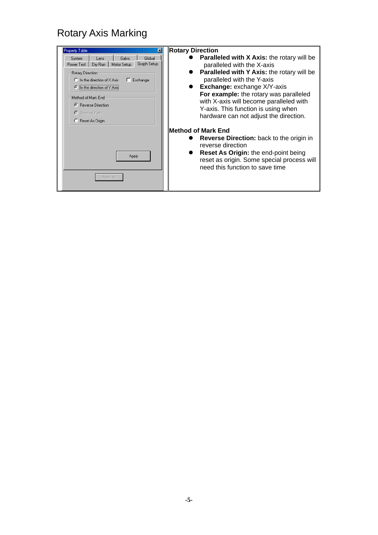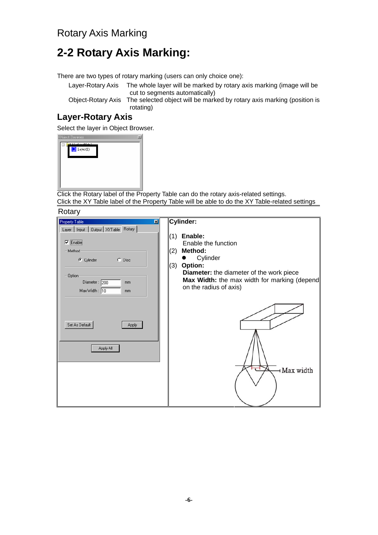# **2-2 Rotary Axis Marking:**

There are two types of rotary marking (users can only choice one):

 $\overline{\mathbf{x}}$ 

Layer-Rotary Axis The whole layer will be marked by rotary axis marking (image will be cut to segments automatically)

Object-Rotary Axis The selected object will be marked by rotary axis marking (position is rotating)

#### **Layer-Rotary Axis**

Select the layer in Object Browser.



Click the Rotary label of the Property Table can do the rotary axis-related settings. Click the XY Table label of the Property Table will be able to do the XY Table-related settings

**Rotary** 

| - --- <i>-</i>                            |                                              |
|-------------------------------------------|----------------------------------------------|
| <b>Property Table</b><br>図                | <b>Cylinder:</b>                             |
| Layer   Input   Output   XYTable   Rotary |                                              |
|                                           | Enable:<br>(1)                               |
| $\nabla$ Enable                           | Enable the function                          |
| Method                                    | Method:<br>(2)                               |
|                                           |                                              |
| $\Box$ Disc<br>C Cylinder                 | Cylinder                                     |
|                                           | (3) Option:                                  |
| Option:                                   | Diameter: the diameter of the work piece     |
| Diameter: 200<br>mm                       | Max Width: the max width for marking (depend |
| Max Width: 10<br>mm                       | on the radius of axis)                       |
|                                           |                                              |
|                                           |                                              |
|                                           |                                              |
|                                           |                                              |
| Set As Default<br><b>Apply</b>            |                                              |
|                                           |                                              |
|                                           |                                              |
|                                           |                                              |
| Apply All                                 |                                              |
|                                           |                                              |
|                                           |                                              |
|                                           |                                              |
|                                           | H Max width                                  |
|                                           |                                              |
|                                           |                                              |
|                                           |                                              |
|                                           |                                              |
|                                           |                                              |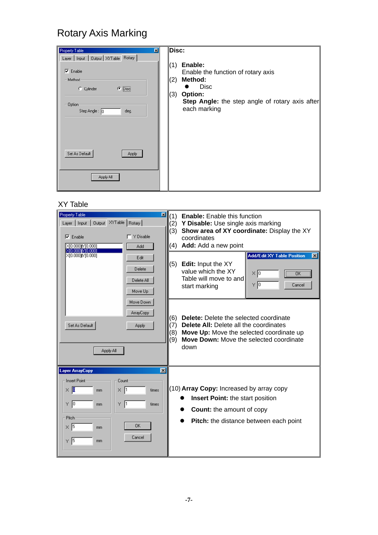| Property Table<br>⊠                                                                                                                          | Disc:                                                                                                                                                                      |
|----------------------------------------------------------------------------------------------------------------------------------------------|----------------------------------------------------------------------------------------------------------------------------------------------------------------------------|
| Layer   Input   Output   XYTable Rotary  <br>$\nabla$ Enable<br>- Method<br>$\bullet$ Disc<br>C Cylinder<br>Option:<br>Step Angle: 0<br>deg. | Enable:<br>(1)<br>Enable the function of rotary axis<br>Method:<br>(2)<br><b>Disc</b><br>(3)<br>Option:<br>Step Angle: the step angle of rotary axis after<br>each marking |
| Set As Default<br>Apply<br>Apply All                                                                                                         |                                                                                                                                                                            |

#### XY Table

| 囨<br><b>Property Table</b><br>XYTable   Rotary  <br>Layer   Input<br><b>Output</b><br>T Y Disable<br>$\nabla$ Enable<br>X[0.000]fY[0.000]<br>Add                                                                   | (1)<br><b>Enable:</b> Enable this function<br>(2)<br>Y Disable: Use single axis marking<br>Show area of XY coordinate: Display the XY<br>(3)<br>coordinates<br>Add: Add a new point<br>(4)                                       |
|--------------------------------------------------------------------------------------------------------------------------------------------------------------------------------------------------------------------|----------------------------------------------------------------------------------------------------------------------------------------------------------------------------------------------------------------------------------|
| XI0.0001YI0.0001<br>X[0.000][Y[0.000]<br>Edit<br>Delete<br>Delete All<br>Move Up                                                                                                                                   | <b>Add/Edit XY Table Position</b><br>$\vert x \vert$<br>Edit: Input the XY<br>(5)<br>value which the XY<br>×Г<br>ΰK<br>Table will move to and<br>ΥD<br>Cancel<br>start marking                                                   |
| Move Down<br><b>ArrayCopy</b><br>Set As Default<br>Apply<br>Apply All                                                                                                                                              | <b>Delete:</b> Delete the selected coordinate<br>(6)<br><b>Delete All:</b> Delete all the coordinates<br>(7)<br>(8)<br>Move Up: Move the selected coordinate up<br>(9)<br><b>Move Down:</b> Move the selected coordinate<br>down |
| <b>Layer ArrayCopy</b><br>$\vert x \vert$<br>Insert Point:<br>Count<br>$\times$ [[<br>X  1<br>times<br>mm<br>$\gamma$ 0<br>Y 1<br>times<br>mm.<br>Pitch<br>0K<br>$\times$ 5<br>mm<br>Cancel<br>$\frac{1}{5}$<br>mm | (10) Array Copy: Increased by array copy<br><b>Insert Point:</b> the start position<br><b>Count:</b> the amount of copy<br><b>Pitch:</b> the distance between each point                                                         |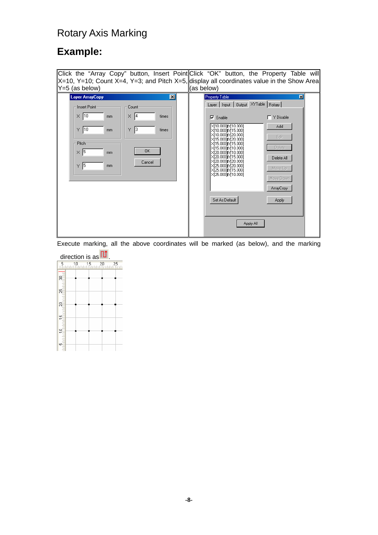### **Example:**

| Click the "Array Copy" button, Insert Point Click "OK" button, the Property Table will       |                     |                       |                                                                   |                                         |   |
|----------------------------------------------------------------------------------------------|---------------------|-----------------------|-------------------------------------------------------------------|-----------------------------------------|---|
| $X=10$ , Y=10; Count X=4, Y=3; and Pitch X=5, display all coordinates value in the Show Area |                     |                       |                                                                   |                                         |   |
| $Y=5$ (as below)                                                                             |                     | (as below)            |                                                                   |                                         |   |
| <b>Layer ArrayCopy</b>                                                                       | ∣×l                 | <b>Property Table</b> |                                                                   |                                         | ⊠ |
| Insert Point                                                                                 | Count               |                       |                                                                   | Layer   Input   Output XYTable   Rotary |   |
| $\times$ 10<br>mm                                                                            | $\times$ 4<br>times | $\nabla$ Enable       |                                                                   | Y Disable                               |   |
| $ 10\rangle$<br>Y.<br>mm                                                                     | 13<br>Y<br>times    |                       | X[10.000][Y[10.000]<br>X[10.000]fY[15.000]                        | Add                                     |   |
| Pitch                                                                                        |                     |                       | X[10.000][Y[20.000]<br>X[15.000]fY[20.000]<br>X[15.000][Y[15.000] | Edit                                    |   |
| $\times$ 5<br>mm.                                                                            | <b>OK</b>           |                       | X[15.000][Y[10.000]<br>XI20.0001N110.0001<br>X[20.000]M[15.000]   | Delete<br>Delete All                    |   |
| $\vert$ <sub>5</sub><br>Y.<br>mm.                                                            | Cancel              |                       | X[20.000]M[20.000]<br>X[25.000][Y[20.000]<br>X[25.000]M15.000]    | Move Up                                 |   |
|                                                                                              |                     |                       | XÍ25.000 IM 10.000 I                                              | Move Down                               |   |
|                                                                                              |                     |                       |                                                                   | ArrayCopy                               |   |
|                                                                                              |                     |                       | Set As Default                                                    | Apply                                   |   |
|                                                                                              |                     |                       |                                                                   |                                         |   |
|                                                                                              |                     |                       |                                                                   | Apply All                               |   |
|                                                                                              |                     |                       |                                                                   |                                         |   |

Execute marking, all the above coordinates will be marked (as below), and the marking

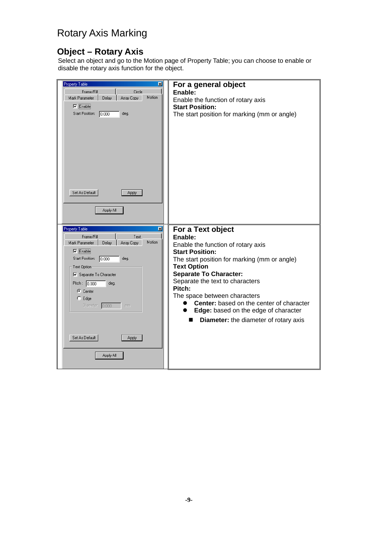#### **Object – Rotary Axis**

Select an object and go to the Motion page of Property Table; you can choose to enable or disable the rotary axis function for the object.

| <b>Property Table</b><br>囨<br>Frame/Fill<br>Circle<br>Motion<br>Mark Parameter<br>Delay<br>Array Copy<br>$\nabla$ Enable<br>Start Position: 0.000<br>deg.                                                                                                                     | For a general object<br>Enable:<br>Enable the function of rotary axis<br><b>Start Position:</b><br>The start position for marking (mm or angle)                                                                                                                                                                                                                                                                             |
|-------------------------------------------------------------------------------------------------------------------------------------------------------------------------------------------------------------------------------------------------------------------------------|-----------------------------------------------------------------------------------------------------------------------------------------------------------------------------------------------------------------------------------------------------------------------------------------------------------------------------------------------------------------------------------------------------------------------------|
| Set As Default<br><b>Apply</b><br>Apply All                                                                                                                                                                                                                                   |                                                                                                                                                                                                                                                                                                                                                                                                                             |
| <b>Property Table</b><br>図<br>Frame/Fill<br>Text<br>Motion<br>Mark Parameter<br>Delay<br>Array Copy<br>$\nabla$ Enable<br>Start Position: 0.000<br>deg.<br>Text Option:<br>□ Separate To Character<br>Pitch: $0.000$<br>deg.<br>C Center<br>$C$ Edge<br>Diameter: 0.000<br>mm | For a Text object<br>Enable:<br>Enable the function of rotary axis<br><b>Start Position:</b><br>The start position for marking (mm or angle)<br><b>Text Option</b><br><b>Separate To Character:</b><br>Separate the text to characters<br>Pitch:<br>The space between characters<br><b>Center:</b> based on the center of character<br>Edge: based on the edge of character<br><b>Diameter:</b> the diameter of rotary axis |
| Set As Default<br>Apply<br>Apply All                                                                                                                                                                                                                                          |                                                                                                                                                                                                                                                                                                                                                                                                                             |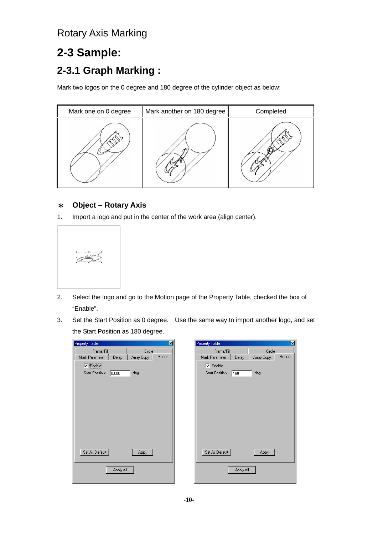# **2-3 Sample: 2-3.1 Graph Marking :**

Mark two logos on the 0 degree and 180 degree of the cylinder object as below:



#### \* **Object – Rotary Axis**

1. Import a logo and put in the center of the work area (align center).



- 2. Select the logo and go to the Motion page of the Property Table, checked the box of "Enable".
- 3. Set the Start Position as 0 degree. Use the same way to import another logo, and set the Start Position as 180 degree.

| Property Table                                  | Property Table<br>図                    |
|-------------------------------------------------|----------------------------------------|
| Circle<br>Frame/Fill                            | Circle<br>Frame/Fill                   |
| Motion<br>Mark Parameter<br>Array Copy<br>Delay | Mark Parameter<br>Array Copy<br>Delay  |
| $\nabla$ Enable                                 | $\nabla$ Enable                        |
| Start Position:<br>deg.<br>0.000                | <b>Start Position:</b><br>deg.<br> 180 |
|                                                 |                                        |
|                                                 |                                        |
|                                                 |                                        |
|                                                 |                                        |
|                                                 |                                        |
|                                                 |                                        |
|                                                 |                                        |
|                                                 |                                        |
|                                                 |                                        |
|                                                 |                                        |
| Set As Default<br><b>Apply</b>                  | Set As Default<br><b>Apply</b>         |
|                                                 |                                        |
| Apply All                                       | Apply All                              |
|                                                 |                                        |
|                                                 |                                        |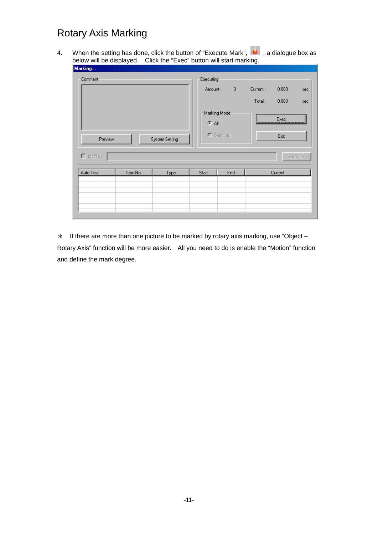4. When the setting has done, click the button of "Execute Mark",  $\frac{1}{2}$ , a dialogue box as below will be displayed. Click the "Exec" button will start marking.

| Marking                   |          |             |            |                          |             |          |         |         |  |
|---------------------------|----------|-------------|------------|--------------------------|-------------|----------|---------|---------|--|
| Comment-                  |          |             |            | Executing:               |             |          |         |         |  |
|                           |          |             | Amount:    |                          | $\mathbf 0$ | Current: | 0.000   | sec     |  |
|                           |          |             |            |                          |             | Total:   | 0.000   | sec     |  |
|                           |          |             |            | Marking Mode:<br>$G$ All |             |          | Exec    |         |  |
| Preview<br>System Setting |          |             | O Selected |                          |             | Exit     |         |         |  |
| $\Box$ log file :         |          |             |            |                          |             |          |         | Broswer |  |
| Auto Text                 | Item No. | <b>Type</b> | Start      | End                      |             |          | Current |         |  |
|                           |          |             |            |                          |             |          |         |         |  |
|                           |          |             |            |                          |             |          |         |         |  |
|                           |          |             |            |                          |             |          |         |         |  |
|                           |          |             |            |                          |             |          |         |         |  |

 $*$  If there are more than one picture to be marked by rotary axis marking, use "Object – Rotary Axis" function will be more easier. All you need to do is enable the "Motion" function and define the mark degree.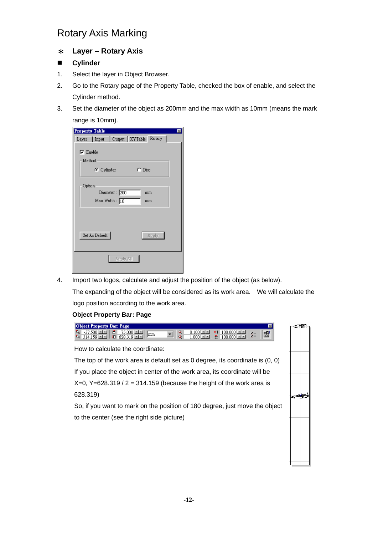#### \* **Layer – Rotary Axis**

#### **Cylinder**

- 1. Select the layer in Object Browser.
- 2. Go to the Rotary page of the Property Table, checked the box of enable, and select the Cylinder method.
- 3. Set the diameter of the object as 200mm and the max width as 10mm (means the mark range is 10mm).

| <b>Property Table</b><br>$\times$ |
|-----------------------------------|
|                                   |
| Layer Input Output XYTable Rotary |
|                                   |
| $\nabla$ Enable                   |
| Method                            |
| C Cylinder<br>$\cap$ Disc         |
| Option                            |
| Diameter: 200<br>mm               |
| Max Width: $\boxed{10}$<br>mm     |
| Set As Default<br>Apply           |
| Apply All                         |

4. Import two logos, calculate and adjust the position of the object (as below).

The expanding of the object will be considered as its work area. We will calculate the logo position according to the work area.

#### **Object Property Bar: Page**

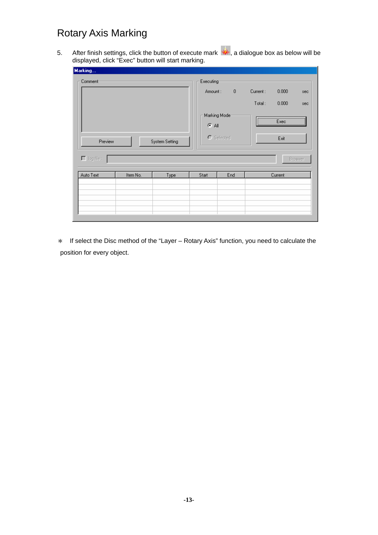5. After finish settings, click the button of execute mark  $\frac{1}{2}$ , a dialogue box as below will be displayed, click "Exec" button will start marking.

| Marking                   |          |      |       |                                             |  |        |          |         |
|---------------------------|----------|------|-------|---------------------------------------------|--|--------|----------|---------|
| Comment:                  |          |      |       | Executing<br>$\,0\,$<br>Current:<br>Amount: |  |        |          | sec     |
|                           |          |      |       |                                             |  | Total: | 0.000    | sec     |
|                           |          |      |       | Marking Mode<br>$\times$ All                |  |        | Exec<br> |         |
| Preview<br>System Setting |          |      |       | C Selected                                  |  |        | Exit     |         |
| $\Box$ log file :         |          |      |       |                                             |  |        |          | Broswer |
| Auto Text                 | Item No. | Type | Start | End                                         |  |        | Current  |         |
|                           |          |      |       |                                             |  |        |          |         |
|                           |          |      |       |                                             |  |        |          |         |
|                           |          |      |       |                                             |  |        |          |         |

\* If select the Disc method of the "Layer – Rotary Axis" function, you need to calculate the position for every object.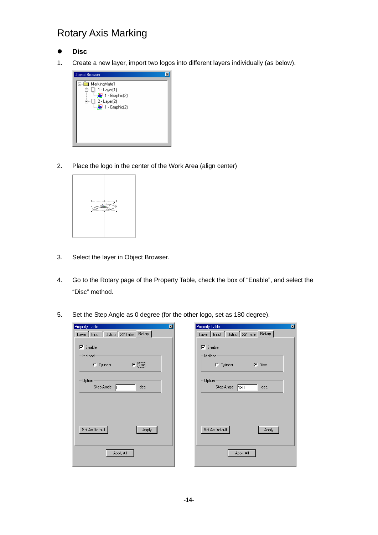- z **Disc**
- 1. Create a new layer, import two logos into different layers individually (as below).



2. Place the logo in the center of the Work Area (align center)



- 3. Select the layer in Object Browser.
- 4. Go to the Rotary page of the Property Table, check the box of "Enable", and select the "Disc" method.
- 5. Set the Step Angle as 0 degree (for the other logo, set as 180 degree).

| Property Table<br>図                     | Property Table<br>図                       |
|-----------------------------------------|-------------------------------------------|
| Layer   Input   Output   XYTable Rotary | Layer   Input   Output   XYTable   Rotary |
|                                         |                                           |
| $\nabla$ Enable                         | $\nabla$ Enable                           |
| -Method-                                | Method-                                   |
| $\bullet$ Disc<br>C Cylinder            | $\bullet$ Disc<br>C Cylinder              |
| Option:                                 | Option:                                   |
| Step Angle: 0<br>deg.                   | Step Angle: 180<br>deg.                   |
|                                         |                                           |
|                                         |                                           |
|                                         |                                           |
|                                         |                                           |
| Set As Default<br>Apply                 | Set As Default<br>Apply                   |
|                                         |                                           |
|                                         |                                           |
| Apply All                               | Apply All                                 |
|                                         |                                           |
|                                         |                                           |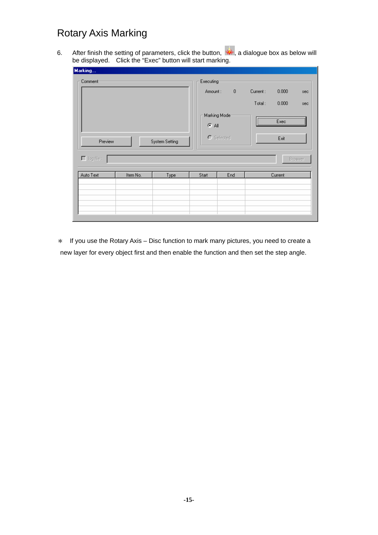6. After finish the setting of parameters, click the button,  $\frac{1}{2}$ , a dialogue box as below will be displayed. Click the "Exec" button will start marking.

| Marking                   |          |                      |             |               |        |         |         |
|---------------------------|----------|----------------------|-------------|---------------|--------|---------|---------|
| Comment:                  |          | Executing<br>Amount: | $\mathbf 0$ | Current:      | 0.000  | sec     |         |
|                           |          |                      |             |               | Total: | 0.000   | sec     |
|                           |          |                      | $G$ All     | Marking Mode- |        | Exec    |         |
| Preview<br>System Setting |          |                      |             | C Selected    |        | Exit    |         |
| $\Box$ log file :         |          |                      |             |               |        |         | Broswer |
| Auto Text                 | Item No. | <b>Type</b>          | Start       | End           |        | Current |         |
|                           |          |                      |             |               |        |         |         |
|                           |          |                      |             |               |        |         |         |
|                           |          |                      |             |               |        |         |         |
|                           |          |                      |             |               |        |         |         |

\* If you use the Rotary Axis – Disc function to mark many pictures, you need to create a new layer for every object first and then enable the function and then set the step angle.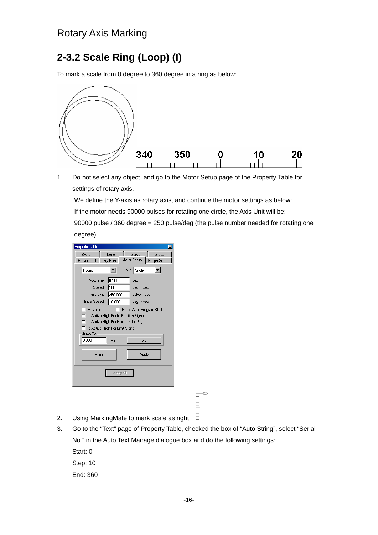## **2-3.2 Scale Ring (Loop) (I)**

To mark a scale from 0 degree to 360 degree in a ring as below:



1. Do not select any object, and go to the Motor Setup page of the Property Table for settings of rotary axis.

We define the Y-axis as rotary axis, and continue the motor settings as below:

If the motor needs 90000 pulses for rotating one circle, the Axis Unit will be:

90000 pulse / 360 degree = 250 pulse/deg (the pulse number needed for rotating one degree)

| <b>Property Table</b>                                                                                                                                               |                                |  |  |  |
|---------------------------------------------------------------------------------------------------------------------------------------------------------------------|--------------------------------|--|--|--|
| System<br>Lens                                                                                                                                                      | Galvo<br>Global<br>Motor Setup |  |  |  |
| Dry Run<br>Power Test                                                                                                                                               | Graph Setup                    |  |  |  |
| Rotary                                                                                                                                                              | Unit: Angle                    |  |  |  |
| 0.100<br>Acc. time :                                                                                                                                                | sec                            |  |  |  |
| Speed: 100                                                                                                                                                          | deg. / sec                     |  |  |  |
| Axis Unit: 250.000                                                                                                                                                  | pulse / deg.                   |  |  |  |
| Initial Speed: 10,000                                                                                                                                               | deg. / sec                     |  |  |  |
| Reverse<br>Home After Program Start<br>Is Active High For In Position Signal<br>Is Active High For Home Index Signal<br>Is Active High For Limit Signal<br>Jump To: |                                |  |  |  |
| 0.000<br>deq.                                                                                                                                                       | Go                             |  |  |  |
| Apply<br>Home                                                                                                                                                       |                                |  |  |  |
| Apply All                                                                                                                                                           |                                |  |  |  |
|                                                                                                                                                                     |                                |  |  |  |

 $\frac{1}{2}$ 

- 2. Using MarkingMate to mark scale as right:  $\bar{=}$
- 3. Go to the "Text" page of Property Table, checked the box of "Auto String", select "Serial No." in the Auto Text Manage dialogue box and do the following settings:

Start: 0

Step: 10

End: 360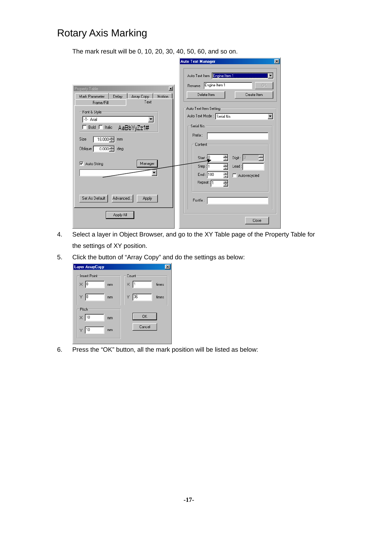The mark result will be 0, 10, 20, 30, 40, 50, 60, and so on.

|                                                                                                                                                                                | <b>Auto Text Manager</b><br>$\vert x \vert$                                                                                        |
|--------------------------------------------------------------------------------------------------------------------------------------------------------------------------------|------------------------------------------------------------------------------------------------------------------------------------|
| $\mathbf{x}$<br>Property Table<br>Mark Parameter                                                                                                                               | Auto Text Item <b>Engine Item I</b><br>Engine Item 1<br>0K<br>Rename<br>Delete Item<br>Create Item                                 |
| Motion<br>Delay<br>Array Copy<br>Text<br>Frame/Fill<br>Font & Style<br>-T- Arial<br>Bold $\Box$ Italic<br>AaBbYyZz1#<br>18.000 중<br>Size<br>mm<br>Oblique<br>$0.000 -$<br>deg. | Auto Text Item Setting<br>Auto Text Mode : Serial No.<br>$\blacktriangledown$<br>Serial No.<br>Prefix:<br>Content                  |
| Manager<br>Auto String<br>⊽                                                                                                                                                    | Digit: $3$<br>를<br>Start: 0<br>Ė<br>클<br>Step: 1<br>Lead:<br>픺<br>End: $\boxed{100}$<br>Auto-recycled<br>Repeat: <sub>1</sub><br>즠 |
| Set As Default<br>Advanced<br>Apply<br>Apply All                                                                                                                               | Postfix:<br>Close                                                                                                                  |

- 4. Select a layer in Object Browser, and go to the XY Table page of the Property Table for the settings of XY position.
- 5. Click the button of "Array Copy" and do the settings as below:

| <b>Layer ArrayCopy</b>   |                      |
|--------------------------|----------------------|
| <b>Insert Point</b>      | Count                |
| $\times 0$<br>mm         | $\times$  1<br>times |
| Y 0<br>mm                | 36<br>Υ.<br>times    |
| Pitch                    |                      |
| $\times \sqrt{10}$<br>mm | <b>OK</b>            |
| $Y$ 10<br>mm             | Cancel               |
|                          |                      |

6. Press the "OK" button, all the mark position will be listed as below: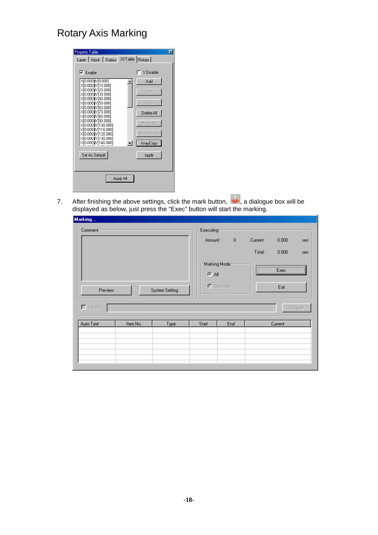| <b>Property Table</b>                                                                                                                                                                                                                                                                                                                                                        |                                                                                                |
|------------------------------------------------------------------------------------------------------------------------------------------------------------------------------------------------------------------------------------------------------------------------------------------------------------------------------------------------------------------------------|------------------------------------------------------------------------------------------------|
| Layer   Input   Output                                                                                                                                                                                                                                                                                                                                                       | XYTable   Rotary                                                                               |
| $\nabla$ Enable<br>X[0.000][Y[0.000]<br>X[0.000]fY[10.000]<br>X[0.000][Y[20.000]<br>X[0.000]fY[30.000]<br>X[0.000]fY[40.000]<br>X[0.000]fY[50.000]<br>X[0.000]fY[60.000]<br>XI0.0001M70.0001<br>XI0.0001M180.0001<br>X[0.000][Y[90.000]<br>X[0.000]jY[100.000]<br>X(0.000) Y(110.000)<br>X[0.000]fY[120.000]<br>X[0.000]fY[130.000]<br>X[0.000]fY[140.000]<br>Set As Default | Y Disable<br>Add<br>Edit<br>Delete<br>Delete All<br>Move Up<br>Move Down<br>ArrayCopy<br>Apply |
| Apply All                                                                                                                                                                                                                                                                                                                                                                    |                                                                                                |
|                                                                                                                                                                                                                                                                                                                                                                              |                                                                                                |

7. After finishing the above settings, click the mark button,  $\mathbb{R}$ , a dialogue box will be displayed as below, just press the "Exec" button will start the marking.

| Marking                                  |          |                |                                  |                                        |                    |                                |                       |
|------------------------------------------|----------|----------------|----------------------------------|----------------------------------------|--------------------|--------------------------------|-----------------------|
| Comment-<br>Preview<br>$\Box$ log file : |          | System Setting | Executing-<br>Amount:<br>$G$ All | $\theta$<br>Marking Mode<br>O Selected | Current:<br>Total: | 0.000<br>0.000<br>Exec<br>Exit | sec<br>sec<br>Broswer |
| Auto Text                                | Item No. | <b>Type</b>    | Start                            | End                                    |                    | Current                        |                       |
|                                          |          |                |                                  |                                        |                    |                                |                       |
|                                          |          |                |                                  |                                        |                    |                                |                       |
|                                          |          |                |                                  |                                        |                    |                                |                       |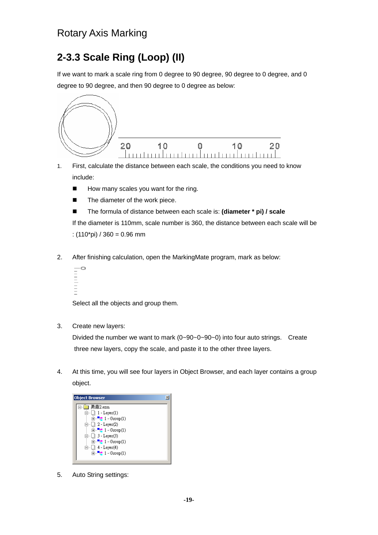# **2-3.3 Scale Ring (Loop) (II)**

If we want to mark a scale ring from 0 degree to 90 degree, 90 degree to 0 degree, and 0 degree to 90 degree, and then 90 degree to 0 degree as below:



- 1. First, calculate the distance between each scale, the conditions you need to know include:
	- $\blacksquare$  How many scales you want for the ring.
	- The diameter of the work piece.
	- The formula of distance between each scale is: **(diameter \* pi) / scale**

If the diameter is 110mm, scale number is 360, the distance between each scale will be :  $(110<sup>*</sup>pi) / 360 = 0.96 mm$ 

2. After finishing calculation, open the MarkingMate program, mark as below:

```
Ġ
-11111111
```
Select all the objects and group them.

3. Create new layers:

Divided the number we want to mark (0~90~0~90~0) into four auto strings. Create three new layers, copy the scale, and paste it to the other three layers.

4. At this time, you will see four layers in Object Browser, and each layer contains a group object.



5. Auto String settings: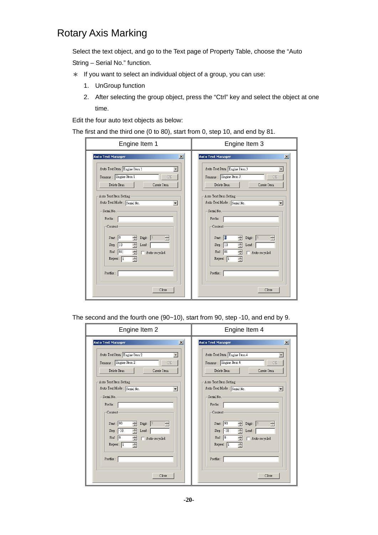Select the text object, and go to the Text page of Property Table, choose the "Auto String – Serial No." function.

- \* If you want to select an individual object of a group, you can use:
	- 1. UnGroup function
	- 2. After selecting the group object, press the "Ctrl" key and select the object at one time.

Edit the four auto text objects as below:

The first and the third one (0 to 80), start from 0, step 10, and end by 81.

| <b>Auto Text Manager</b><br>$\vert x \vert$<br><b>Auto Text Manager</b><br>$\vert x \vert$<br>Auto Text Item Engine Item 1<br>Auto Text Item Engine Item 3<br>Rename: Engine Item 1<br>Rename: Engine Item 3<br>OK<br>OK<br>Delete Item<br>Create Item<br>Delete Item<br>Create Item<br>Auto Text Item Setting-<br>Auto Text Item Setting-<br>Auto Text Mode : Serial No.<br>Auto Text Mode : Serial No.<br>$\overline{\phantom{a}}$<br>Serial No. -<br>Serial No. -<br>Prefix:<br>Prefix:<br>$-$ Content $-$<br>Content-<br>Start: 0<br>곡<br>릨<br>Start: 0<br>Digit: $\sqrt{3}$<br>$\frac{1}{\sqrt{2}}$<br>Digit: $ 3 $<br>품<br>ヨ<br>Step: 10<br>Step: 10<br>즐<br>Lead : $\lceil$<br>$\text{lead}:$<br>$\Box$ $\Box$ Auto-recycled<br>$\Box$ $\Box$ Auto-recycled<br>End : $\boxed{81}$<br>End: 81<br>$\equiv$<br>$\equiv$<br>Repeat: 1<br>Repest: 1<br>Postfix:<br>Postfix: | Engine Item 1 | Engine Item 3 |  |
|-------------------------------------------------------------------------------------------------------------------------------------------------------------------------------------------------------------------------------------------------------------------------------------------------------------------------------------------------------------------------------------------------------------------------------------------------------------------------------------------------------------------------------------------------------------------------------------------------------------------------------------------------------------------------------------------------------------------------------------------------------------------------------------------------------------------------------------------------------------------------------|---------------|---------------|--|
| Close<br>Close                                                                                                                                                                                                                                                                                                                                                                                                                                                                                                                                                                                                                                                                                                                                                                                                                                                                |               |               |  |

The second and the fourth one (90~10), start from 90, step -10, and end by 9.

| Engine Item 2                                                                                                                                                                                                                                                                                                                                                                                                                      | Engine Item 4                                                                                                                                                                                                                                                                                                                                                                                                                    |
|------------------------------------------------------------------------------------------------------------------------------------------------------------------------------------------------------------------------------------------------------------------------------------------------------------------------------------------------------------------------------------------------------------------------------------|----------------------------------------------------------------------------------------------------------------------------------------------------------------------------------------------------------------------------------------------------------------------------------------------------------------------------------------------------------------------------------------------------------------------------------|
| $\vert x \vert$<br><b>Auto Text Manager</b><br>Auto Text Item Engine Item 2<br>Rename: Engine Item 2<br>OK<br>Create Item<br>Delete Item<br>Auto Text Item Setting-<br>Auto Text Mode : Serial No.<br>$\blacktriangledown$<br>Serial No. -<br>Prefix:<br>Content-<br>Start: 90<br>る<br>Digit: $\sqrt{3}$<br>릠<br>Step: 10<br>픞<br>$\text{lead}:$<br>$\Box$ $\Box$ Auto-recycled<br>End : $\boxed{9}$<br>둄<br>Repest: 1<br>Postfix: | $\vert x \vert$<br><b>Auto Text Manager</b><br>Auto Text Item Engine Item 4<br>Rename: Engine Item 4<br>OK.<br>Delete Item<br>Create Item<br>Auto Text Item Setting-<br>Auto Text Mode : Serial No.<br>$\overline{\phantom{a}}$<br>Serial No. -<br>Prefix:<br>-Content-<br>Start: 90<br>$\equiv$<br>Digit: $3$<br>る<br>$Step: -10$<br>Ξ<br>$\text{lead}:$<br>$\Box$ $\Box$ Auto-recycled<br>End: 9<br>픸<br>Repest: 1<br>Postfix: |
| Close                                                                                                                                                                                                                                                                                                                                                                                                                              | Close                                                                                                                                                                                                                                                                                                                                                                                                                            |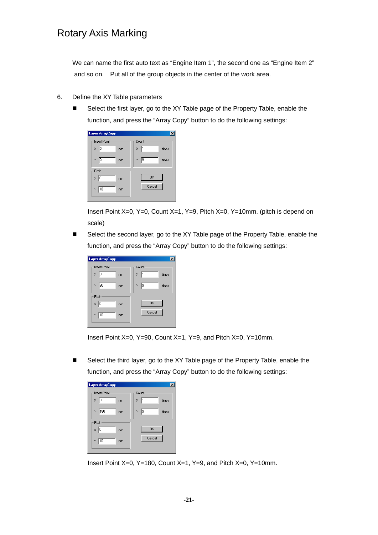We can name the first auto text as "Engine Item 1", the second one as "Engine Item 2" and so on. Put all of the group objects in the center of the work area.

- 6. Define the XY Table parameters
	- Select the first layer, go to the XY Table page of the Property Table, enable the function, and press the "Array Copy" button to do the following settings:

| <b>Layer ArrayCopy</b>   |                  |
|--------------------------|------------------|
| <b>Insert Point</b>      | Count            |
| $\times 10$<br>mm        | ×<br>times       |
| Y 0<br>mm                | 19<br>Y<br>times |
| Pitch                    |                  |
| $\times$ $\vert$ 0<br>mm | <b>OK</b>        |
| 1d<br>Ÿ<br>mm            | Cancel           |
|                          |                  |

Insert Point X=0, Y=0, Count X=1, Y=9, Pitch X=0, Y=10mm. (pitch is depend on scale)

 Select the second layer, go to the XY Table page of the Property Table, enable the function, and press the "Array Copy" button to do the following settings:

| <b>Layer ArrayCopy</b> |                   |
|------------------------|-------------------|
| <b>Insert Point</b>    | Count             |
| $\times 10$<br>mm      | ×<br>times<br>n   |
| 90<br>Υ.<br>mm         | ļэ<br>Y.<br>times |
| Pitch                  |                   |
| $\times$ 0<br>mm       | <b>OK</b>         |
| $Y$ 10<br>mm           | Cancel            |
|                        |                   |

Insert Point X=0, Y=90, Count X=1, Y=9, and Pitch X=0, Y=10mm.

 Select the third layer, go to the XY Table page of the Property Table, enable the function, and press the "Array Copy" button to do the following settings:

| <b>Layer ArrayCopy</b> |                   |
|------------------------|-------------------|
| <b>Insert Point</b>    | Count             |
| $\times 0$<br>mm       | ×.<br>I1<br>times |
| 180<br>Υ.<br>mm        | Y 9<br>times      |
| Pitch                  |                   |
| $\times$ 0<br>mm       | <b>OK</b>         |
| 10<br>Y.<br>mm         | Cancel            |
|                        |                   |

Insert Point X=0, Y=180, Count X=1, Y=9, and Pitch X=0, Y=10mm.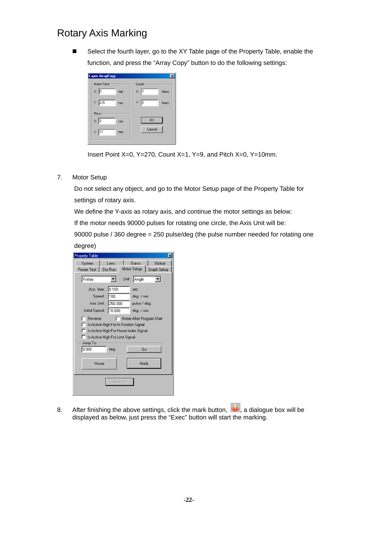Select the fourth layer, go to the XY Table page of the Property Table, enable the function, and press the "Array Copy" button to do the following settings:

| <b>Layer ArrayCopy</b> |                   |
|------------------------|-------------------|
| <b>Insert Point</b>    | Count             |
| $\times 10$<br>mm      | ×.<br>ון<br>times |
| $\frac{1}{270}$<br>mm  | Y<br>19<br>times  |
| Pitch                  |                   |
| $\times$  0<br>mm      | 0K                |
| 10<br>Y<br>mm          | Cancel            |
|                        |                   |

Insert Point X=0, Y=270, Count X=1, Y=9, and Pitch X=0, Y=10mm.

7. Motor Setup

Do not select any object, and go to the Motor Setup page of the Property Table for settings of rotary axis.

We define the Y-axis as rotary axis, and continue the motor settings as below:

If the motor needs 90000 pulses for rotating one circle, the Axis Unit will be:

90000 pulse / 360 degree = 250 pulse/deg (the pulse number needed for rotating one

| degree |  |
|--------|--|
|--------|--|

| Property Table<br>×                                                                                                                                                                                                                                                                                                                |
|------------------------------------------------------------------------------------------------------------------------------------------------------------------------------------------------------------------------------------------------------------------------------------------------------------------------------------|
| Galvo<br>Global<br>System<br>Lens<br>Motor Setup<br>Graph Setup<br>Power Test<br>Dry Run<br>ш                                                                                                                                                                                                                                      |
| Unit: Angle<br>Rotary                                                                                                                                                                                                                                                                                                              |
| Acc. time : 0.100<br>sec<br>Speed: 100<br>deg. / sec<br>Axis Unit: 250.000<br>pulse / deg.<br>Initial Speed: 10.000<br>deg. / sec<br>Reverse<br>F Home After Program Start<br>Is Active High For In Position Signal<br>Is Active High For Home Index Signal<br>Is Active High For Limit Signal<br>Jump To<br> 0.000 <br>deg.<br>Go |
| Apply<br>Home                                                                                                                                                                                                                                                                                                                      |
| Apply All                                                                                                                                                                                                                                                                                                                          |

8. After finishing the above settings, click the mark button,  $\mathbf{A}$ , a dialogue box will be displayed as below, just press the "Exec" button will start the marking.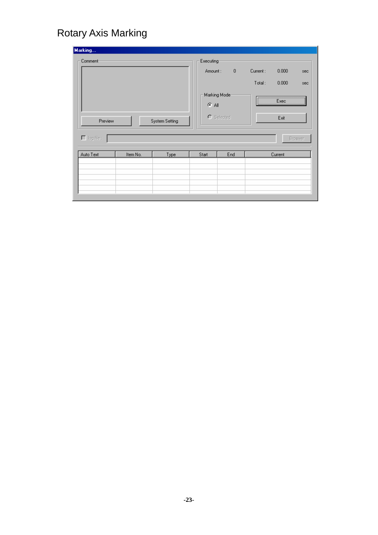| Marking           |          |                |                      |                |          |              |         |
|-------------------|----------|----------------|----------------------|----------------|----------|--------------|---------|
| Comment:          |          |                | Executing<br>Amount: | $\blacksquare$ | Current: | 0.000        | sec     |
|                   |          |                |                      |                | Total:   | 0.000        | sec     |
|                   |          |                | $G$ All              | Marking Mode:  |          | Exec<br><br> |         |
| Preview           |          | System Setting |                      | C Selected     |          | Exit         |         |
| $\Box$ log file : |          |                |                      |                |          |              | Broswer |
| Auto Text         | Item No. | Type           | Start                | End            |          | Current      |         |
|                   |          |                |                      |                |          |              |         |
|                   |          |                |                      |                |          |              |         |
|                   |          |                |                      |                |          |              |         |
|                   |          |                |                      |                |          |              |         |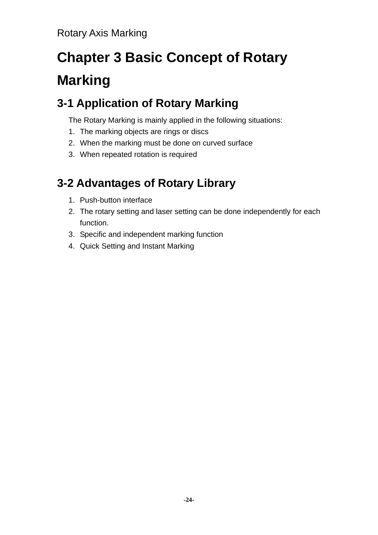# **Chapter 3 Basic Concept of Rotary Marking**

# **3-1 Application of Rotary Marking**

The Rotary Marking is mainly applied in the following situations:

- 1. The marking objects are rings or discs
- 2. When the marking must be done on curved surface
- 3. When repeated rotation is required

# **3-2 Advantages of Rotary Library**

- 1. Push-button interface
- 2. The rotary setting and laser setting can be done independently for each function.
- 3. Specific and independent marking function
- 4. Quick Setting and Instant Marking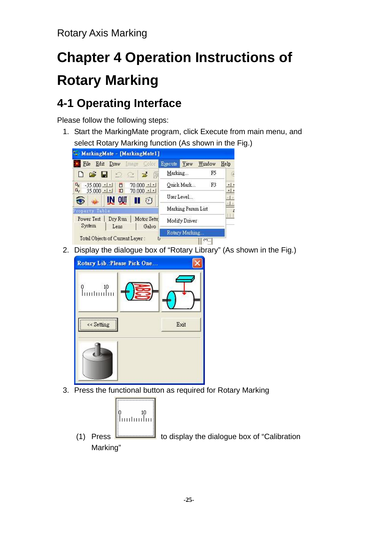# **Chapter 4 Operation Instructions of Rotary Marking**

# **4-1 Operating Interface**

Please follow the following steps:

1. Start the MarkingMate program, click Execute from main menu, and select Rotary Marking function (As shown in the Fig.)



2. Display the dialogue box of "Rotary Library" (As shown in the Fig.)



3. Press the functional button as required for Rotary Marking



(1) Press  $\Box$  to display the dialogue box of "Calibration" Marking"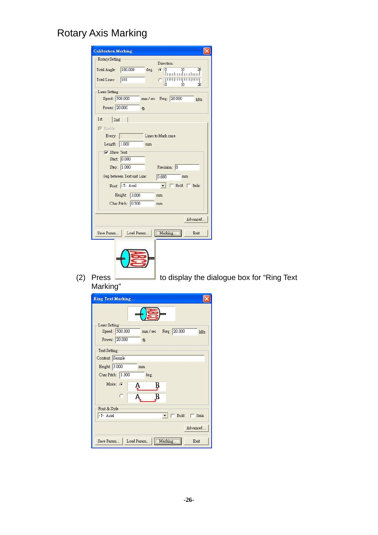|                 | <b>Calibration Marking</b> |      |                       |                   |
|-----------------|----------------------------|------|-----------------------|-------------------|
| Rotary Setting  |                            |      | Direction:            |                   |
| Total Angle:    | 180.000                    | deg. | n<br>G                | 10<br>20<br>uluut |
| Total Lines:    | 181                        |      | 'n                    | 111111<br>10<br>Ŵ |
| Laser Setting-  |                            |      |                       |                   |
| Speed: 500.000  |                            |      | mm / sec Freq: 20.000 | kHz               |
| Power: 20.000   | %                          |      |                       |                   |
| 1st<br>2nd      |                            |      |                       |                   |
| $\nabla$ Enable |                            |      |                       |                   |
| Every: 1        |                            |      | Lines to Mark once    |                   |
| Length: 1.000   |                            | mm   |                       |                   |
| V Show Text     |                            |      |                       |                   |
|                 | Start: 0.000               |      |                       |                   |
|                 | Step: 1.000                |      | Precision: 0          |                   |
|                 | Gap between Text and Line: |      | 0.600                 | mm                |
|                 | Font: -T-Arial             |      |                       | Bold   Italic     |
|                 | Height: 3.000              |      | mm                    |                   |
|                 | Char Pitch: 0.500          |      | mm                    |                   |
|                 |                            |      |                       | Advanced          |
| Save Param      | Load Param                 |      | Marking.              | Exit              |



 $\overline{\phantom{a}}$  to display the dialogue box for "Ring Text (2) Press<br>Marking"

|                 | <b>Ring Text Marking</b> |            |              |               |
|-----------------|--------------------------|------------|--------------|---------------|
|                 |                          |            |              |               |
| Laser Setting   |                          |            |              |               |
|                 | Speed: 500.000           | mm/sec     | Freq: 20.000 | kHz           |
|                 | Power: 20.000            | %          |              |               |
| Text Setting    |                          |            |              |               |
| Content: Sample |                          |            |              |               |
| Height: 3.000   |                          | mm         |              |               |
|                 | Char Pitch: 1.000        | deg.       |              |               |
|                 | Mode: G                  |            |              |               |
|                 |                          | В<br>Ą.    |              |               |
|                 | r                        |            |              |               |
| Font & Style    |                          |            |              |               |
| -T- Arial       |                          |            | Bold         | $\Box$ Italic |
|                 |                          |            |              |               |
|                 |                          |            |              | Advanced      |
| Save Param      |                          | Load Param | Marking      | Exit          |
|                 |                          |            |              |               |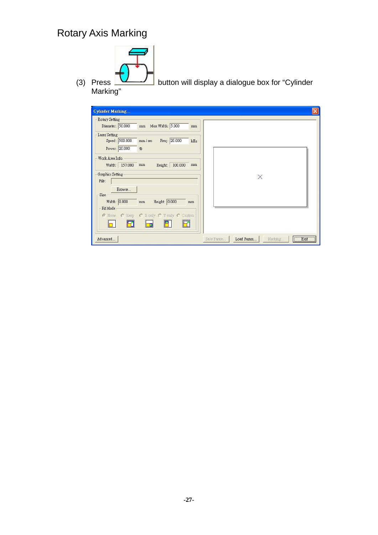

button will display a dialogue box for "Cylinder

(3) Press<br>Marking"

| <b>Cylinder Marking</b>                                                                           |                                              |
|---------------------------------------------------------------------------------------------------|----------------------------------------------|
| Rotary Setting<br>Diameter: 50.000<br>Max Width: 5.000<br>$\rm{mm}$<br>mm                         |                                              |
| Laser Setting<br>Speed: 500.000<br>Freq: 20.000<br>mm / sec<br>kHz<br>Power: 20.000<br>%          |                                              |
| Work Area Info.<br>Width: 157.080<br>100.000<br>Height:<br>mm<br>mm<br>Graphics Setting-<br>File: | $\times$                                     |
| Browse<br>Size<br>Width: 0.000<br>Height: 0.000<br>mm<br>mm<br>Fit Mode                           |                                              |
| C Keep C X only C Y only C Custom<br>G None<br>2<br>Ð                                             |                                              |
| Advanced                                                                                          | Exit<br>Load Param<br>Save Param<br>Marking. |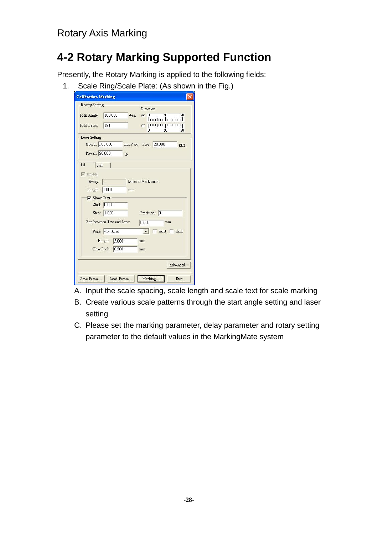# **4-2 Rotary Marking Supported Function**

Presently, the Rotary Marking is applied to the following fields:

1. Scale Ring/Scale Plate: (As shown in the Fig.)

| <b>Calibration Marking</b>                                                                                                                                                                                                                                                       |
|----------------------------------------------------------------------------------------------------------------------------------------------------------------------------------------------------------------------------------------------------------------------------------|
| Rotary Setting<br>Direction:<br>180.000<br>10<br>Total Angle:<br>deg.<br>20<br>0<br>G<br>181<br>Total Lines:<br>111111<br>ò<br>1Ñ<br>20                                                                                                                                          |
| Laser Setting-<br>Speed: 500.000<br>Freq: 20.000<br>mm/sec<br>kHz<br>Power: 20.000<br>%                                                                                                                                                                                          |
| 2nd<br>1st<br>E Enable<br>Lines to Mark once<br>Every: 1<br>Length: 1.000<br>mm<br>V Show Text<br>Start: 0.000<br>Step: 1.000<br>Precision: 0<br>Gap between Text and Line:<br>0.600<br>mm<br>Font: -T-Arial<br>Bold   Italic<br>Height: 3.000<br>mm.<br>Char Pitch: 0.500<br>mm |
| Advanced                                                                                                                                                                                                                                                                         |
| Marking.<br>Load Param<br>Save Param<br>Exit                                                                                                                                                                                                                                     |

- A. Input the scale spacing, scale length and scale text for scale marking
- B. Create various scale patterns through the start angle setting and laser setting
- C. Please set the marking parameter, delay parameter and rotary setting parameter to the default values in the MarkingMate system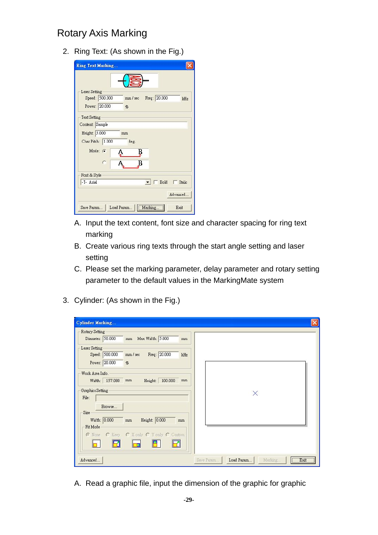2. Ring Text: (As shown in the Fig.)

| <b>Ring Text Marking</b> |                |                       |              |               |
|--------------------------|----------------|-----------------------|--------------|---------------|
|                          |                |                       |              |               |
| Laser Setting            |                |                       |              |               |
|                          | Speed: 500.000 | mm/sec                | Freq: 20.000 | kHz           |
|                          | Power: 20.000  | %                     |              |               |
| Text Setting             |                |                       |              |               |
| Content: Sample          |                |                       |              |               |
| Height: 3.000            |                | mm                    |              |               |
| Char Pitch: 1.000        |                | deg.                  |              |               |
| Mode: 6                  |                | B                     |              |               |
|                          |                |                       |              |               |
|                          | C              | K                     |              |               |
| Font & Style             |                |                       |              |               |
| -T-Arial                 |                |                       | Bold         | $\Box$ Italic |
|                          |                |                       |              | Advanced.     |
| Save Param               |                | Load Param<br>Marking |              | Exit          |

- A. Input the text content, font size and character spacing for ring text marking
- B. Create various ring texts through the start angle setting and laser setting
- C. Please set the marking parameter, delay parameter and rotary setting parameter to the default values in the MarkingMate system
- 3. Cylinder: (As shown in the Fig.)

| <b>Cylinder Marking</b><br>Rotary Setting<br>Diameter: 50.000<br>Max Width: 5.000<br>mm<br>mm                            |                                             |
|--------------------------------------------------------------------------------------------------------------------------|---------------------------------------------|
| Laser Setting<br>Speed: 500.000<br>Freq: 20.000<br>mm / sec<br>kHz<br>Power: 20.000<br>%                                 |                                             |
| Work Area Info.<br>Width: 157.080 mm<br>100.000<br>Height:<br>mm<br>Graphics Setting-<br>File:<br>Browse                 | $\times$                                    |
| Size<br>Height: 0.000<br>Width: 0.000<br>mm<br>mm<br>Fit Mode<br>C None C Keep C X only C Y only C Custom<br>$\Box$<br>Ð |                                             |
| Advanced                                                                                                                 | Exit<br>Load Param<br>Save Param<br>Marking |

A. Read a graphic file, input the dimension of the graphic for graphic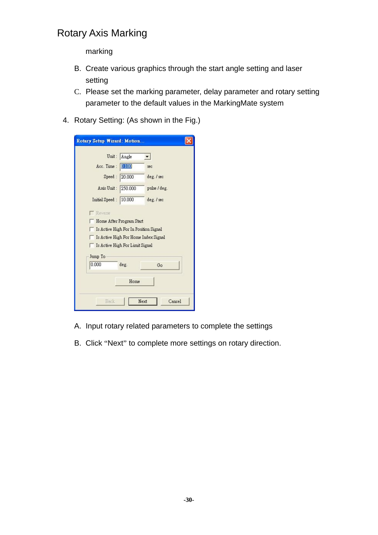marking

- B. Create various graphics through the start angle setting and laser setting
- C. Please set the marking parameter, delay parameter and rotary setting parameter to the default values in the MarkingMate system
- 4. Rotary Setting: (As shown in the Fig.)

| Unit:                                 | Angle   |                                      |
|---------------------------------------|---------|--------------------------------------|
| Acc. Time:                            | 0.100   | sec                                  |
| Speed:                                | 20.000  | deg. / sec                           |
| Axis Unit:                            | 250,000 | pulse / deg.                         |
| Initial Speed:                        | 10.000  | deg. / sec                           |
| <b>Reverse</b>                        |         |                                      |
| Home After Program Start              |         |                                      |
| Is Active High For In Position Signal |         |                                      |
|                                       |         | Is Active High For Home Index Signal |
| Is Active High For Limit Signal       |         |                                      |
| Jump To                               |         |                                      |
| 0.000                                 | deg.    | Go                                   |
|                                       | Home    |                                      |

- A. Input rotary related parameters to complete the settings
- B. Click "Next" to complete more settings on rotary direction.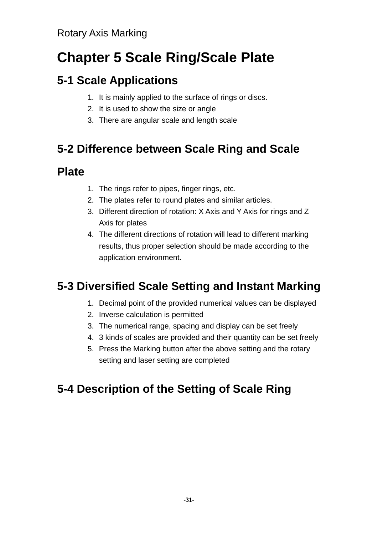# **Chapter 5 Scale Ring/Scale Plate**

# **5-1 Scale Applications**

- 1. It is mainly applied to the surface of rings or discs.
- 2. It is used to show the size or angle
- 3. There are angular scale and length scale

# **5-2 Difference between Scale Ring and Scale**

### **Plate**

- 1. The rings refer to pipes, finger rings, etc.
- 2. The plates refer to round plates and similar articles.
- 3. Different direction of rotation: X Axis and Y Axis for rings and Z Axis for plates
- 4. The different directions of rotation will lead to different marking results, thus proper selection should be made according to the application environment.

# **5-3 Diversified Scale Setting and Instant Marking**

- 1. Decimal point of the provided numerical values can be displayed
- 2. Inverse calculation is permitted
- 3. The numerical range, spacing and display can be set freely
- 4. 3 kinds of scales are provided and their quantity can be set freely
- 5. Press the Marking button after the above setting and the rotary setting and laser setting are completed

# **5-4 Description of the Setting of Scale Ring**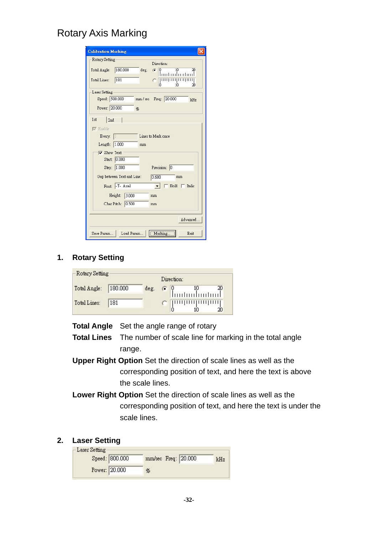| <b>Calibration Marking</b>                                                                                                                                                                                                                                                                             |
|--------------------------------------------------------------------------------------------------------------------------------------------------------------------------------------------------------------------------------------------------------------------------------------------------------|
| Rotary Setting<br>Direction:<br>180,000<br>10<br>Total Angle:<br>deg.<br>20<br>Ω<br>G<br>dmilimtiml<br>Total Lines:<br>181<br>1'n<br>20                                                                                                                                                                |
| Laser Setting<br>Speed: 500.000<br>mm / sec Freq: 20.000<br>kHz<br>Power: 20.000<br>%                                                                                                                                                                                                                  |
| 1st<br>2nd<br>$\nabla$ Enable<br>Lines to Mark once<br>Every:  <br>Length: 1.000<br>mm<br>$\nabla$ Show Text<br>Start: 0.000<br>Step: 1.000<br>Precision: 0<br>Gap between Text and Line:<br>0.600<br>mm<br>Font: -T- Arial<br>Bold $\Box$ Italic<br>3.000<br>Height:<br>mm<br>Char Pitch: 0.500<br>mm |
| Advanced                                                                                                                                                                                                                                                                                               |
| Marking.<br>Save Param<br>Load Param<br>Exit                                                                                                                                                                                                                                                           |

#### **1. Rotary Setting**

|              |         |      |          | Direction: |                                                              |  |
|--------------|---------|------|----------|------------|--------------------------------------------------------------|--|
| Total Angle: | 180,000 | deg. | $G \phi$ |            | $\begin{bmatrix} 0 & 10 & 20 \\ 1 & 1 & 1 & 1 \end{bmatrix}$ |  |
| Total Lines: | 181     |      |          |            | <b>Truthmluning</b>                                          |  |

**Total Angle** Set the angle range of rotary

- **Total Lines** The number of scale line for marking in the total angle range.
- **Upper Right Option** Set the direction of scale lines as well as the corresponding position of text, and here the text is above the scale lines.
- **Lower Right Option** Set the direction of scale lines as well as the corresponding position of text, and here the text is under the scale lines.

#### **2. Laser Setting**

| Laser Setting  |                     |     |
|----------------|---------------------|-----|
| Speed: 800.000 | mm/sec Freq: 20.000 | kHz |
| Power: 20.000  | %                   |     |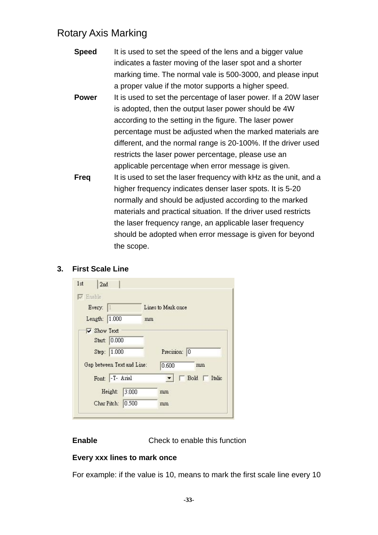| <b>Speed</b> | It is used to set the speed of the lens and a bigger value        |
|--------------|-------------------------------------------------------------------|
|              | indicates a faster moving of the laser spot and a shorter         |
|              | marking time. The normal vale is 500-3000, and please input       |
|              | a proper value if the motor supports a higher speed.              |
| <b>Power</b> | It is used to set the percentage of laser power. If a 20W laser   |
|              | is adopted, then the output laser power should be 4W              |
|              | according to the setting in the figure. The laser power           |
|              | percentage must be adjusted when the marked materials are         |
|              | different, and the normal range is 20-100%. If the driver used    |
|              | restricts the laser power percentage, please use an               |
|              | applicable percentage when error message is given.                |
| <b>Freq</b>  | It is used to set the laser frequency with kHz as the unit, and a |
|              | higher frequency indicates denser laser spots. It is 5-20         |
|              | normally and should be adjusted according to the marked           |
|              | materials and practical situation. If the driver used restricts   |
|              | the laser frequency range, an applicable laser frequency          |
|              | should be adopted when error message is given for beyond          |
|              | the scope.                                                        |
|              |                                                                   |

#### **3. First Scale Line**

| 1st<br>$\nabla$ Enable | 2nd                        |                    |
|------------------------|----------------------------|--------------------|
|                        | Every:                     | Lines to Mark once |
|                        | Length: 1.000              | mm                 |
|                        | Show Text                  |                    |
|                        | 0.000<br>Start:            |                    |
|                        | 1.000<br>Step:             | Precision:<br> 0   |
|                        | Gap between Text and Line: | 0.600<br>mm        |
|                        | Font: -T-Arial             | Bold   Italic      |
|                        | 3.000<br>Height:           | mm                 |
|                        | Char Pitch: 0.500          | mm                 |

**Enable** Check to enable this function

#### **Every xxx lines to mark once**

For example: if the value is 10, means to mark the first scale line every 10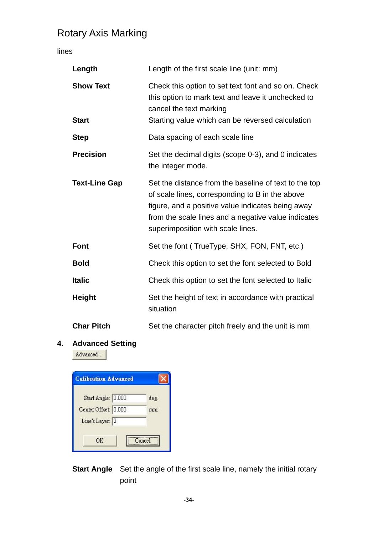lines

| Length                           | Length of the first scale line (unit: mm)                                                                                                                                                                                                                 |
|----------------------------------|-----------------------------------------------------------------------------------------------------------------------------------------------------------------------------------------------------------------------------------------------------------|
| <b>Show Text</b><br><b>Start</b> | Check this option to set text font and so on. Check<br>this option to mark text and leave it unchecked to<br>cancel the text marking<br>Starting value which can be reversed calculation                                                                  |
| <b>Step</b>                      | Data spacing of each scale line                                                                                                                                                                                                                           |
| <b>Precision</b>                 | Set the decimal digits (scope 0-3), and 0 indicates<br>the integer mode.                                                                                                                                                                                  |
| <b>Text-Line Gap</b>             | Set the distance from the baseline of text to the top<br>of scale lines, corresponding to B in the above<br>figure, and a positive value indicates being away<br>from the scale lines and a negative value indicates<br>superimposition with scale lines. |
| <b>Font</b>                      | Set the font (TrueType, SHX, FON, FNT, etc.)                                                                                                                                                                                                              |
| <b>Bold</b>                      | Check this option to set the font selected to Bold                                                                                                                                                                                                        |
| <b>Italic</b>                    | Check this option to set the font selected to Italic                                                                                                                                                                                                      |
| <b>Height</b>                    | Set the height of text in accordance with practical<br>situation                                                                                                                                                                                          |
| <b>Char Pitch</b>                | Set the character pitch freely and the unit is mm                                                                                                                                                                                                         |

#### **4. Advanced Setting**

Advanced...

| <b>Calibration Advanced</b> |        |
|-----------------------------|--------|
| Start Angle: 0.000          | deg.   |
| Center Offset: 0.000        | mm     |
| Line's Layer: 2             |        |
| OΚ                          | Cancel |

**Start Angle** Set the angle of the first scale line, namely the initial rotary point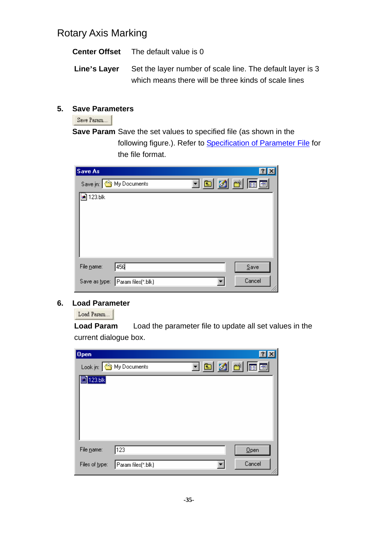|              | <b>Center Offset</b> The default value is 0                                                                        |
|--------------|--------------------------------------------------------------------------------------------------------------------|
| Line's Layer | Set the layer number of scale line. The default layer is 3<br>which means there will be three kinds of scale lines |
|              |                                                                                                                    |

#### **5. Save Parameters**

Save Param...

**Save Param** Save the set values to specified file (as shown in the following figure.). Refer to Specification of Parameter File for the file format.

| <u>teidhei</u><br>Save in: Save in: Save in:  |  |
|-----------------------------------------------|--|
| <b>sa</b> 123.blk                             |  |
|                                               |  |
|                                               |  |
|                                               |  |
|                                               |  |
|                                               |  |
| 456<br>File name:<br>Save                     |  |
| Cancel<br>Param files(*.blk)<br>Save as type: |  |

#### **6. Load Parameter**

Load Param...

**Load Param** Load the parameter file to update all set values in the current dialogue box.

| Open                   |                         |                |        | $ ?  \times$ |
|------------------------|-------------------------|----------------|--------|--------------|
|                        | Look in: S My Documents | <u>teidhei</u> |        |              |
| $\blacksquare$ 123.blk |                         |                |        |              |
|                        |                         |                |        |              |
|                        |                         |                |        |              |
|                        |                         |                |        |              |
|                        |                         |                |        |              |
| File name:             | 123                     |                | Qpen   |              |
| Files of type:         | Param files(*.blk)      |                | Cancel | h.           |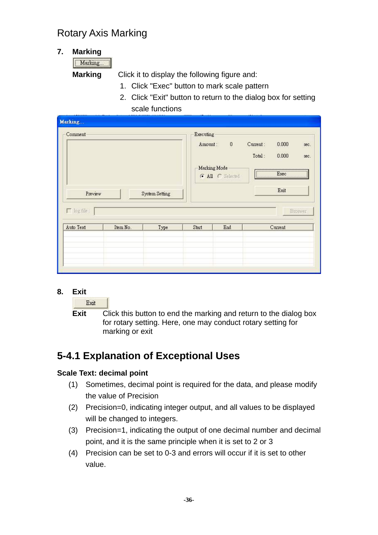#### **7. Marking**

Marking...

**Marking** Click it to display the following figure and:

- 1. Click "Exec" button to mark scale pattern
- 2. Click "Exit" button to return to the dialog box for setting scale functions

| Marking<br>Comment |          |                | Executing |                                                      |                    |                                                                                                                               |              |
|--------------------|----------|----------------|-----------|------------------------------------------------------|--------------------|-------------------------------------------------------------------------------------------------------------------------------|--------------|
| Preview            |          | System Setting | Amount:   | $\boldsymbol{0}$<br>Marking Mode<br>G All C Selected | Current:<br>Total: | 0.000<br>0.000<br>$E_{\text{XBC}}$<br><u> international communities and communities and international communities</u><br>Exit | sec.<br>sec: |
| $\Box$ log file :  |          |                |           |                                                      |                    |                                                                                                                               | Broswer      |
| Auto Text          | Item No. | Type           | Start     | End                                                  |                    | Current                                                                                                                       |              |
|                    |          |                |           |                                                      |                    |                                                                                                                               |              |
|                    |          |                |           |                                                      |                    |                                                                                                                               |              |

**8. Exit** 

Exit

**Exit** Click this button to end the marking and return to the dialog box for rotary setting. Here, one may conduct rotary setting for marking or exit

### **5-4.1 Explanation of Exceptional Uses**

#### **Scale Text: decimal point**

- (1) Sometimes, decimal point is required for the data, and please modify the value of Precision
- (2) Precision=0, indicating integer output, and all values to be displayed will be changed to integers.
- (3) Precision=1, indicating the output of one decimal number and decimal point, and it is the same principle when it is set to 2 or 3
- (4) Precision can be set to 0-3 and errors will occur if it is set to other value.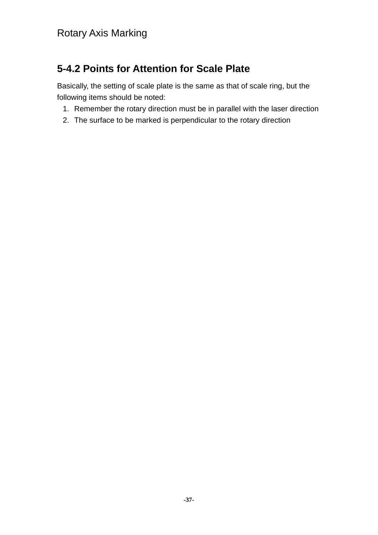### **5-4.2 Points for Attention for Scale Plate**

Basically, the setting of scale plate is the same as that of scale ring, but the following items should be noted:

- 1. Remember the rotary direction must be in parallel with the laser direction
- 2. The surface to be marked is perpendicular to the rotary direction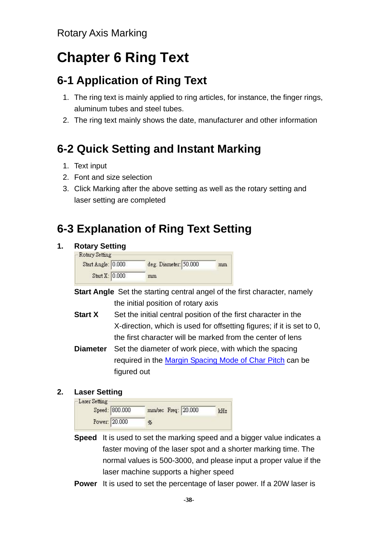# **Chapter 6 Ring Text**

# **6-1 Application of Ring Text**

- 1. The ring text is mainly applied to ring articles, for instance, the finger rings, aluminum tubes and steel tubes.
- 2. The ring text mainly shows the date, manufacturer and other information

# **6-2 Quick Setting and Instant Marking**

- 1. Text input
- 2. Font and size selection
- 3. Click Marking after the above setting as well as the rotary setting and laser setting are completed

# **6-3 Explanation of Ring Text Setting**

#### **1. Rotary Setting**

| Start Angle: 0.000 | deg. Diameter: 50.000 | mm |
|--------------------|-----------------------|----|
| Start X: 0.000     | mm                    |    |

- **Start Angle** Set the starting central angel of the first character, namely the initial position of rotary axis
- **Start X** Set the initial central position of the first character in the X-direction, which is used for offsetting figures; if it is set to 0, the first character will be marked from the center of lens
- **Diameter** Set the diameter of work piece, with which the spacing required in the Margin Spacing Mode of Char Pitch can be figured out

#### **2. Laser Setting**

| Laser Setting | Speed: 800.000 | mm/sec Freq: 20.000 | kHz |
|---------------|----------------|---------------------|-----|
|               |                |                     |     |
|               | Power: 20.000  | %                   |     |

- **Speed** It is used to set the marking speed and a bigger value indicates a faster moving of the laser spot and a shorter marking time. The normal values is 500-3000, and please input a proper value if the laser machine supports a higher speed
- **Power** It is used to set the percentage of laser power. If a 20W laser is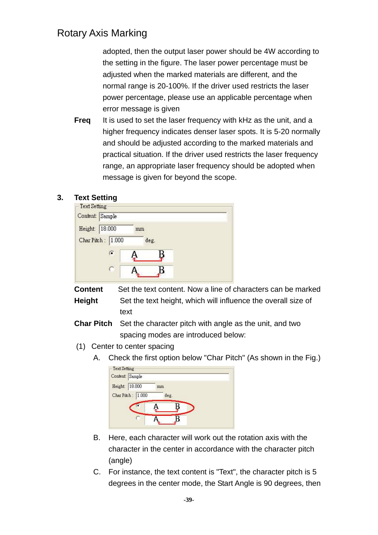adopted, then the output laser power should be 4W according to the setting in the figure. The laser power percentage must be adjusted when the marked materials are different, and the normal range is 20-100%. If the driver used restricts the laser power percentage, please use an applicable percentage when error message is given

**Freq** It is used to set the laser frequency with kHz as the unit, and a higher frequency indicates denser laser spots. It is 5-20 normally and should be adjusted according to the marked materials and practical situation. If the driver used restricts the laser frequency range, an appropriate laser frequency should be adopted when message is given for beyond the scope.

#### **3. Text Setting**

|         | Content: Sample   |      |  |
|---------|-------------------|------|--|
| Height: | 18.000            | mm   |  |
|         | Char Pitch: 1.000 | deg. |  |
|         | G                 |      |  |
|         |                   |      |  |

**Content** Set the text content. Now a line of characters can be marked **Height** Set the text height, which will influence the overall size of text

**Char Pitch** Set the character pitch with angle as the unit, and two spacing modes are introduced below:

- (1) Center to center spacing
	- A. Check the first option below "Char Pitch" (As shown in the Fig.)

| 18.000<br>Height: | mm   |  |
|-------------------|------|--|
| Char Pitch: 1.000 |      |  |
|                   | deg. |  |
|                   |      |  |
|                   |      |  |

- B. Here, each character will work out the rotation axis with the character in the center in accordance with the character pitch (angle)
- C. For instance, the text content is "Text", the character pitch is 5 degrees in the center mode, the Start Angle is 90 degrees, then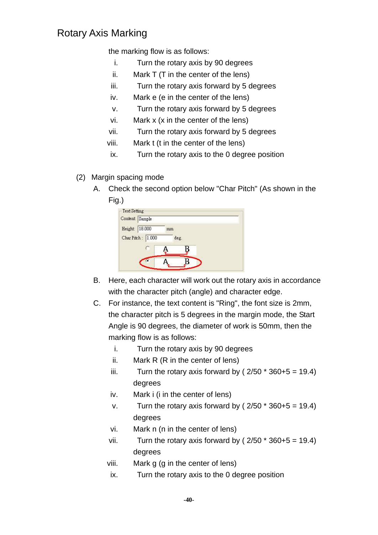the marking flow is as follows:

- i. Turn the rotary axis by 90 degrees
- ii. Mark T (T in the center of the lens)
- iii. Turn the rotary axis forward by 5 degrees
- iv. Mark e (e in the center of the lens)
- v. Turn the rotary axis forward by 5 degrees
- vi. Mark x (x in the center of the lens)
- vii. Turn the rotary axis forward by 5 degrees
- viii. Mark t (t in the center of the lens)
- ix. Turn the rotary axis to the 0 degree position
- (2) Margin spacing mode
	- A. Check the second option below "Char Pitch" (As shown in the Fig.)

| Content: Sample |                   |    |      |  |
|-----------------|-------------------|----|------|--|
| Height:         | 18.000            | mm |      |  |
|                 | Char Pitch: 1.000 |    | deg. |  |
|                 |                   |    |      |  |
|                 |                   |    |      |  |

- B. Here, each character will work out the rotary axis in accordance with the character pitch (angle) and character edge.
- C. For instance, the text content is "Ring", the font size is 2mm, the character pitch is 5 degrees in the margin mode, the Start Angle is 90 degrees, the diameter of work is 50mm, then the marking flow is as follows:
	- i. Turn the rotary axis by 90 degrees
	- ii. Mark R (R in the center of lens)
	- iii. Turn the rotary axis forward by  $(2/50 * 360+5 = 19.4)$ degrees
	- iv. Mark i (i in the center of lens)
	- v. Turn the rotary axis forward by  $(2/50 * 360+5 = 19.4)$ degrees
	- vi. Mark n (n in the center of lens)
	- vii. Turn the rotary axis forward by  $(2/50 * 360+5 = 19.4)$ degrees
	- viii. Mark g (g in the center of lens)
	- ix. Turn the rotary axis to the 0 degree position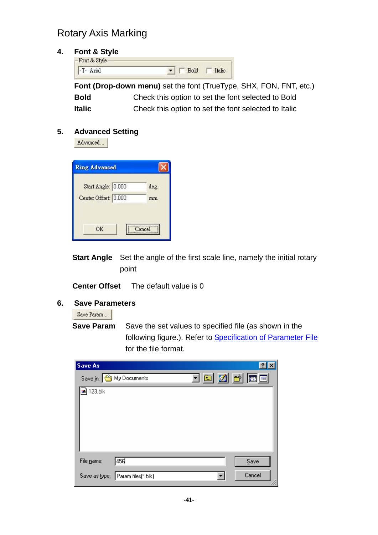#### **4. Font & Style**

Font & Style -T- Arial  $\blacksquare$   $\blacksquare$  Bold  $\blacksquare$  Italic **Font (Drop-down menu)** set the font (TrueType, SHX, FON, FNT, etc.) **Bold** Check this option to set the font selected to Bold

**Italic** Check this option to set the font selected to Italic

#### **5. Advanced Setting**

Advanced...

| <b>Ring Advanced</b> |        |
|----------------------|--------|
| Start Angle: 0.000   | deg.   |
| Center Offset: 0.000 | mm     |
|                      |        |
| ΟK                   | Cancel |

**Start Angle** Set the angle of the first scale line, namely the initial rotary point

**Center Offset** The default value is 0

#### **6. Save Parameters**

Save Param...

**Save Param** Save the set values to specified file (as shown in the following figure.). Refer to Specification of Parameter File for the file format.

| Save As       |                                             |        |
|---------------|---------------------------------------------|--------|
|               | <u>toja k</u><br>Save in: Save in: Save in: |        |
| a) 123.blk    |                                             |        |
|               |                                             |        |
|               |                                             |        |
|               |                                             |        |
|               |                                             |        |
| File name:    | 456                                         | Save   |
| Save as type: | Param files(*.blk)                          | Cancel |
|               |                                             |        |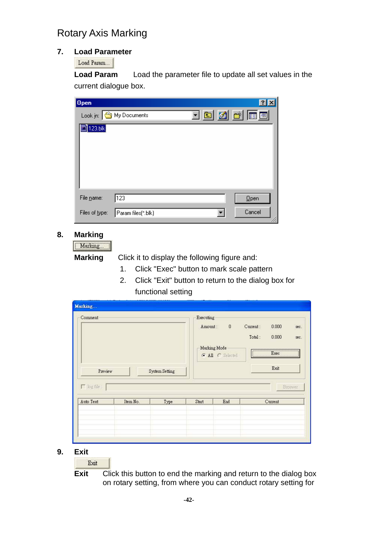#### **7. Load Parameter**

Load Param...

**Load Param** Load the parameter file to update all set values in the current dialogue box.

| $ 0$ pen               |                         |  |  | ?             |  |
|------------------------|-------------------------|--|--|---------------|--|
|                        | Look in: S My Documents |  |  | <u>teidhe</u> |  |
| $\blacksquare$ 123.blk |                         |  |  |               |  |
|                        |                         |  |  |               |  |
|                        |                         |  |  |               |  |
|                        |                         |  |  |               |  |
|                        |                         |  |  |               |  |
| File name:             | 123                     |  |  | Qpen          |  |
| Files of type:         | Param files(*.blk)      |  |  | Cancel        |  |

#### **8. Marking**

Marking...

 **Marking** Click it to display the following figure and:

- 1. Click "Exec" button to mark scale pattern
- 2. Click "Exit" button to return to the dialog box for functional setting

| Comment<br>Preview<br>$\Gamma$ log file : |          | System Setting | Executing<br>Amount: | $\boldsymbol{0}$<br>Marking Mode<br>G All C Selected | Current:<br>Total: | 0.000<br>0.000<br>$E_{\text{XEC}}$<br>$\sqrt{2\pi}$ Exec<br>Exit | sec.<br>sec:<br>Broswer |
|-------------------------------------------|----------|----------------|----------------------|------------------------------------------------------|--------------------|------------------------------------------------------------------|-------------------------|
| Auto Text                                 | Item No. | Type           | Start                | End                                                  |                    | Current                                                          |                         |
|                                           |          |                |                      |                                                      |                    |                                                                  |                         |

**9. Exit** 

Exit

**Exit** Click this button to end the marking and return to the dialog box on rotary setting, from where you can conduct rotary setting for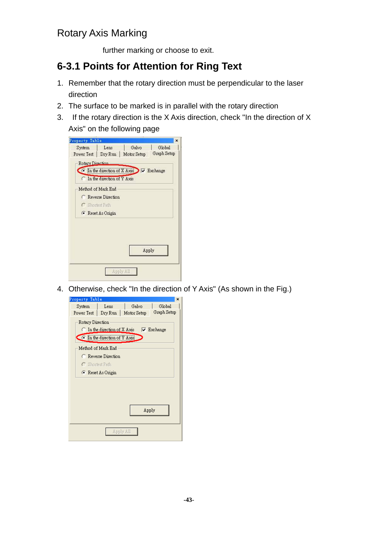further marking or choose to exit.

### **6-3.1 Points for Attention for Ring Text**

- 1. Remember that the rotary direction must be perpendicular to the laser direction
- 2. The surface to be marked is in parallel with the rotary direction
- 3. If the rotary direction is the X Axis direction, check "In the direction of X Axis" on the following page



4. Otherwise, check "In the direction of Y Axis" (As shown in the Fig.)

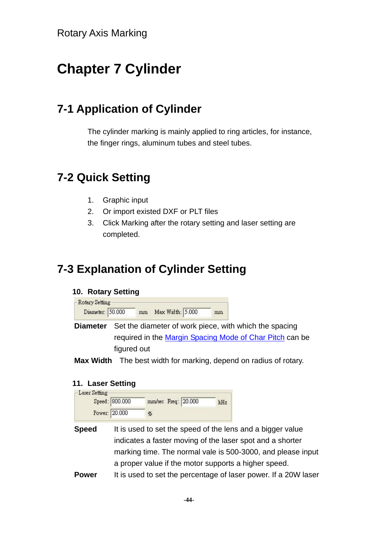# **Chapter 7 Cylinder**

## **7-1 Application of Cylinder**

The cylinder marking is mainly applied to ring articles, for instance, the finger rings, aluminum tubes and steel tubes.

### **7-2 Quick Setting**

- 1. Graphic input
- 2. Or import existed DXF or PLT files
- 3. Click Marking after the rotary setting and laser setting are completed.

# **7-3 Explanation of Cylinder Setting**

#### **10. Rotary Setting**

Rotary Setting Diameter: 50.000 mm Max Width: 5.000 mm

- **Diameter** Set the diameter of work piece, with which the spacing required in the Margin Spacing Mode of Char Pitch can be figured out
- **Max Width** The best width for marking, depend on radius of rotary.

#### **11. Laser Setting**

| -Laser Setting |                |                     |     |
|----------------|----------------|---------------------|-----|
|                | Speed: 800.000 | mm/sec Freq: 20.000 | kHz |
|                | Power: 20.000  | %                   |     |

- **Speed** It is used to set the speed of the lens and a bigger value indicates a faster moving of the laser spot and a shorter marking time. The normal vale is 500-3000, and please input a proper value if the motor supports a higher speed.
- **Power** It is used to set the percentage of laser power. If a 20W laser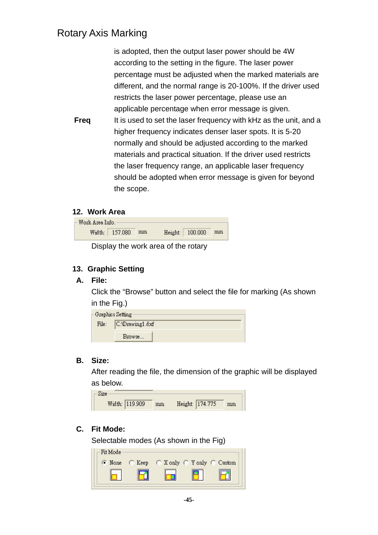is adopted, then the output laser power should be 4W according to the setting in the figure. The laser power percentage must be adjusted when the marked materials are different, and the normal range is 20-100%. If the driver used restricts the laser power percentage, please use an applicable percentage when error message is given. **Freq** It is used to set the laser frequency with kHz as the unit, and a higher frequency indicates denser laser spots. It is 5-20 normally and should be adjusted according to the marked materials and practical situation. If the driver used restricts the laser frequency range, an applicable laser frequency should be adopted when error message is given for beyond the scope.

#### **12. Work Area**

| Work Area Info. |                   |  |                    |  |
|-----------------|-------------------|--|--------------------|--|
|                 | Width: 157.080 mm |  | Height: 100.000 mm |  |

Display the work area of the rotary

#### **13. Graphic Setting**

#### **A. File:**

Click the "Browse" button and select the file for marking (As shown in the Fig.)

|       | -Graphics Setting |  |
|-------|-------------------|--|
| File: | C:\Drawing1.dxf   |  |
|       | Browse            |  |

#### **B. Size:**

After reading the file, the dimension of the graphic will be displayed as below.

| Size. |                |    |                 |    |
|-------|----------------|----|-----------------|----|
|       | Width: 119.909 | mm | Height: 174.775 | mm |

#### **C. Fit Mode:**

Selectable modes (As shown in the Fig)

| C Keep |  |                            |
|--------|--|----------------------------|
|        |  |                            |
|        |  |                            |
|        |  | C X only C Y only C Custom |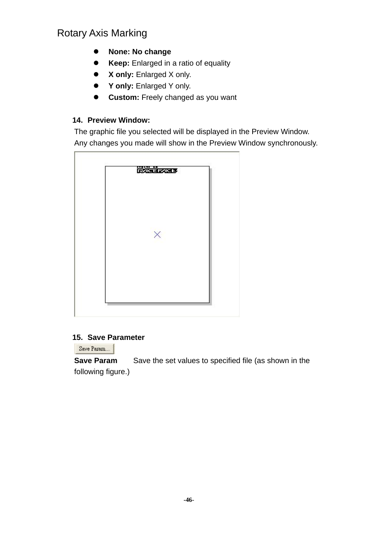- **None: No change**
- **Keep:** Enlarged in a ratio of equality
- z **X only:** Enlarged X only.
- **•** Y only: Enlarged Y only.
- **Custom:** Freely changed as you want

#### **14. Preview Window:**

The graphic file you selected will be displayed in the Preview Window. Any changes you made will show in the Preview Window synchronously.



#### **15. Save Parameter**

Save Param...

**Save Param** Save the set values to specified file (as shown in the following figure.)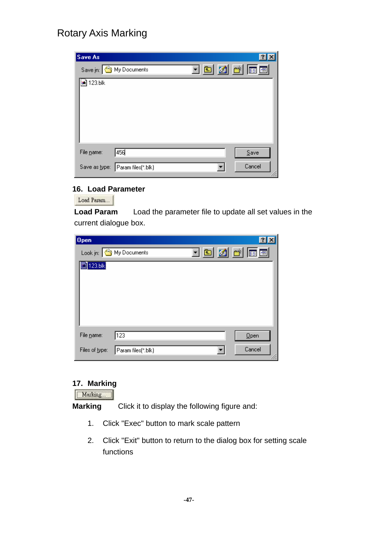| Save As       |                       |               | ?      |
|---------------|-----------------------|---------------|--------|
|               | Save in: My Documents | <u>ten de</u> |        |
| a 123.blk     |                       |               |        |
|               |                       |               |        |
|               |                       |               |        |
|               |                       |               |        |
|               |                       |               |        |
| File name:    | 456                   |               | Save   |
| Save as type: | Param files(*.blk)    |               | Cancel |

#### **16. Load Parameter**

Load Param...

**Load Param** Load the parameter file to update all set values in the current dialogue box.

| <u>teid al</u><br>Look in: S My Documents      |  |
|------------------------------------------------|--|
|                                                |  |
| [123.b]                                        |  |
|                                                |  |
|                                                |  |
|                                                |  |
|                                                |  |
| 123<br>File name:<br>Qpen                      |  |
| Cancel<br>Files of type:<br>Param files(*.blk) |  |

#### **17. Marking**

Marking...

**Marking** Click it to display the following figure and:

- 1. Click "Exec" button to mark scale pattern
- 2. Click "Exit" button to return to the dialog box for setting scale functions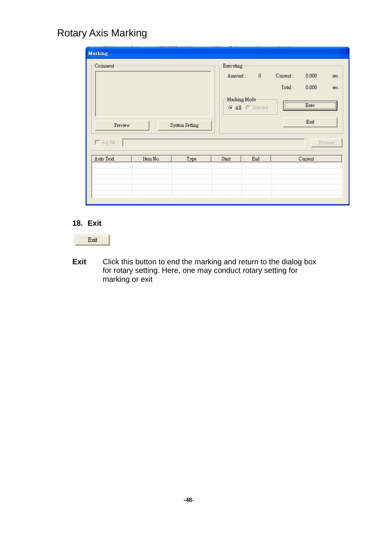| Comment  |      |                | $\boldsymbol{0}$ | Current:<br>Total:                   | 0.000<br>sec.<br>0.000<br>sec: |                             |  |
|----------|------|----------------|------------------|--------------------------------------|--------------------------------|-----------------------------|--|
|          |      |                |                  |                                      | Exit                           |                             |  |
|          |      |                |                  |                                      |                                | Broswer                     |  |
| Item No. | Type | Start          | End              |                                      |                                |                             |  |
|          |      |                |                  |                                      |                                |                             |  |
|          |      | System Setting |                  | Executing<br>Amount:<br>Marking Mode | G All C Selected               | $E_{\text{XBC}}$<br>Current |  |

#### **18. Exit**



**Exit** Click this button to end the marking and return to the dialog box for rotary setting. Here, one may conduct rotary setting for marking or exit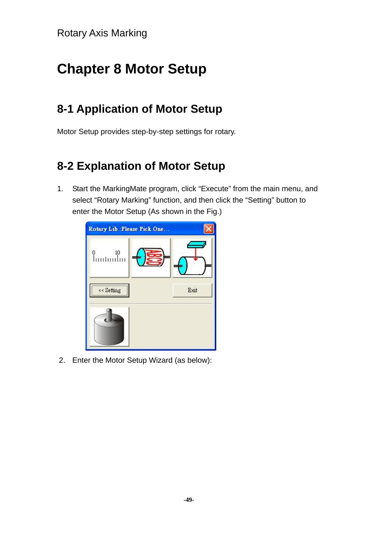# **Chapter 8 Motor Setup**

# **8-1 Application of Motor Setup**

Motor Setup provides step-by-step settings for rotary.

# **8-2 Explanation of Motor Setup**

1. Start the MarkingMate program, click "Execute" from the main menu, and select "Rotary Marking" function, and then click the "Setting" button to enter the Motor Setup (As shown in the Fig.)



2. Enter the Motor Setup Wizard (as below):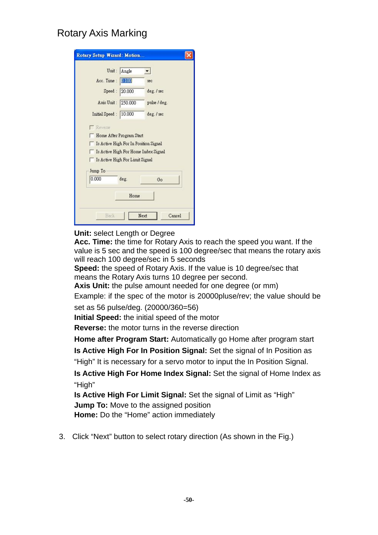| Unit:                                            | Angle                           |                                      |
|--------------------------------------------------|---------------------------------|--------------------------------------|
| Acc. Time:                                       | 0.100                           | sec                                  |
| Speed:                                           | 20.000                          | deg. / sec                           |
| Axis Unit:                                       | 250.000                         | pulse / deg.                         |
| Initial Speed: 10.000                            |                                 | deg. / sec                           |
|                                                  | Home After Program Start        |                                      |
| Is Active High For In Position Signal<br>Jump To | Is Active High For Limit Signal | Is Active High For Home Index Signal |
| 0.000                                            | deg.                            | Go                                   |

#### **Unit: select Length or Degree**

**Acc. Time:** the time for Rotary Axis to reach the speed you want. If the value is 5 sec and the speed is 100 degree/sec that means the rotary axis will reach 100 degree/sec in 5 seconds

**Speed:** the speed of Rotary Axis. If the value is 10 degree/sec that means the Rotary Axis turns 10 degree per second.

**Axis Unit:** the pulse amount needed for one degree (or mm)

Example: if the spec of the motor is 20000pluse/rev; the value should be

set as 56 pulse/deg. (20000/360=56)

**Initial Speed:** the initial speed of the motor

**Reverse:** the motor turns in the reverse direction

**Home after Program Start:** Automatically go Home after program start

**Is Active High For In Position Signal:** Set the signal of In Position as

"High" It is necessary for a servo motor to input the In Position Signal.

**Is Active High For Home Index Signal:** Set the signal of Home Index as "High"

**Is Active High For Limit Signal:** Set the signal of Limit as "High" **Jump To:** Move to the assigned position

**Home:** Do the "Home" action immediately

3. Click "Next" button to select rotary direction (As shown in the Fig.)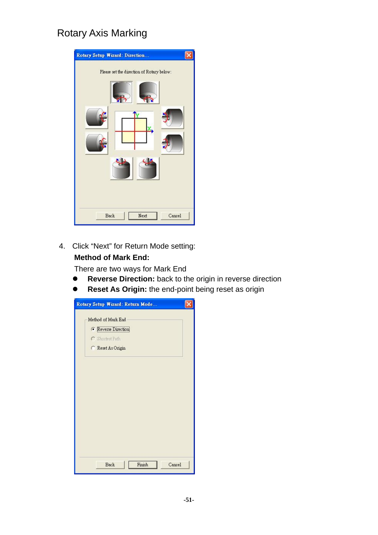| Rotary Setup Wizard: Direction                |
|-----------------------------------------------|
| Please set the direction of Rotary below:<br> |
| <b>Back</b><br>Next<br>Cancel                 |

4. Click "Next" for Return Mode setting: **Method of Mark End:**

There are two ways for Mark End

- **Reverse Direction:** back to the origin in reverse direction
- **Reset As Origin:** the end-point being reset as origin

| Rotary Setup Wizard: Return Mode |  |
|----------------------------------|--|
| Method of Mark End               |  |
| Reverse Direction                |  |
| C Shortest Path                  |  |
| C Reset As Origin                |  |
|                                  |  |
|                                  |  |
|                                  |  |
|                                  |  |
|                                  |  |
|                                  |  |
|                                  |  |
|                                  |  |
|                                  |  |
|                                  |  |
|                                  |  |
| Finish<br>Cancel<br><b>Back</b>  |  |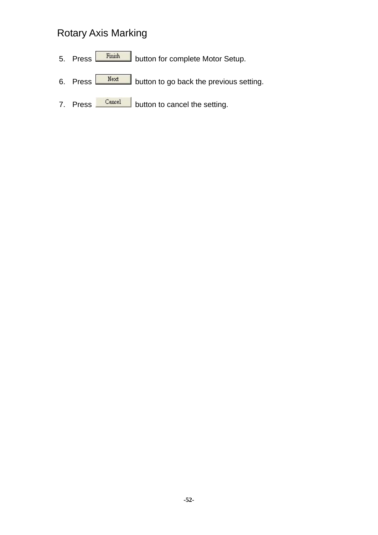- 5. Press Finish button for complete Motor Setup.
- 6. Press  $\frac{Next}{Next}$  button to go back the previous setting.
- 7. Press **Cancel** button to cancel the setting.